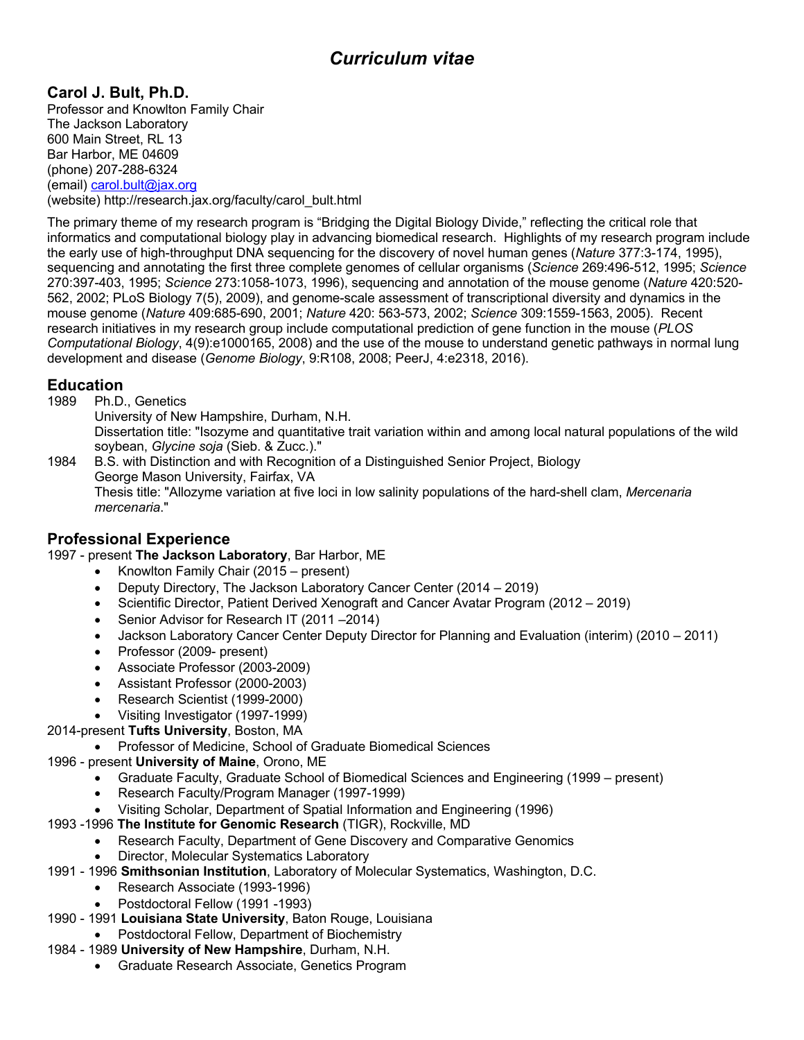# **Carol J. Bult, Ph.D.**

Professor and Knowlton Family Chair The Jackson Laboratory 600 Main Street, RL 13 Bar Harbor, ME 04609 (phone) 207-288-6324 (email) carol.bult@jax.org (website) http://research.jax.org/faculty/carol\_bult.html

The primary theme of my research program is "Bridging the Digital Biology Divide," reflecting the critical role that informatics and computational biology play in advancing biomedical research. Highlights of my research program include the early use of high-throughput DNA sequencing for the discovery of novel human genes (*Nature* 377:3-174, 1995), sequencing and annotating the first three complete genomes of cellular organisms (*Science* 269:496-512, 1995; *Science* 270:397-403, 1995; *Science* 273:1058-1073, 1996), sequencing and annotation of the mouse genome (*Nature* 420:520- 562, 2002; PLoS Biology 7(5), 2009), and genome-scale assessment of transcriptional diversity and dynamics in the mouse genome (*Nature* 409:685-690, 2001; *Nature* 420: 563-573, 2002; *Science* 309:1559-1563, 2005). Recent research initiatives in my research group include computational prediction of gene function in the mouse (*PLOS Computational Biology*, 4(9):e1000165, 2008) and the use of the mouse to understand genetic pathways in normal lung development and disease (*Genome Biology*, 9:R108, 2008; PeerJ, 4:e2318, 2016).

# **Education**

1989 Ph.D., Genetics

University of New Hampshire, Durham, N.H. Dissertation title: "Isozyme and quantitative trait variation within and among local natural populations of the wild soybean, *Glycine soja* (Sieb. & Zucc.)."

1984 B.S. with Distinction and with Recognition of a Distinguished Senior Project, Biology George Mason University, Fairfax, VA Thesis title: "Allozyme variation at five loci in low salinity populations of the hard-shell clam, *Mercenaria mercenaria*."

# **Professional Experience**

1997 - present **The Jackson Laboratory**, Bar Harbor, ME

- Knowlton Family Chair (2015 present)
- Deputy Directory, The Jackson Laboratory Cancer Center (2014 2019)
- Scientific Director, Patient Derived Xenograft and Cancer Avatar Program (2012 2019)
- Senior Advisor for Research IT (2011 –2014)
- Jackson Laboratory Cancer Center Deputy Director for Planning and Evaluation (interim) (2010 2011)
- Professor (2009- present)
- Associate Professor (2003-2009)
- Assistant Professor (2000-2003)
- Research Scientist (1999-2000)
- Visiting Investigator (1997-1999)
- 2014-present **Tufts University**, Boston, MA
	- Professor of Medicine, School of Graduate Biomedical Sciences

1996 - present **University of Maine**, Orono, ME

- Graduate Faculty, Graduate School of Biomedical Sciences and Engineering (1999 present)
- Research Faculty/Program Manager (1997-1999)
- Visiting Scholar, Department of Spatial Information and Engineering (1996)
- 1993 -1996 **The Institute for Genomic Research** (TIGR), Rockville, MD
	- Research Faculty, Department of Gene Discovery and Comparative Genomics
		- Director, Molecular Systematics Laboratory
- 1991 1996 **Smithsonian Institution**, Laboratory of Molecular Systematics, Washington, D.C.
	- Research Associate (1993-1996)
	- Postdoctoral Fellow (1991 -1993)
- 1990 1991 **Louisiana State University**, Baton Rouge, Louisiana
	- Postdoctoral Fellow, Department of Biochemistry
- 1984 1989 **University of New Hampshire**, Durham, N.H.
	- Graduate Research Associate, Genetics Program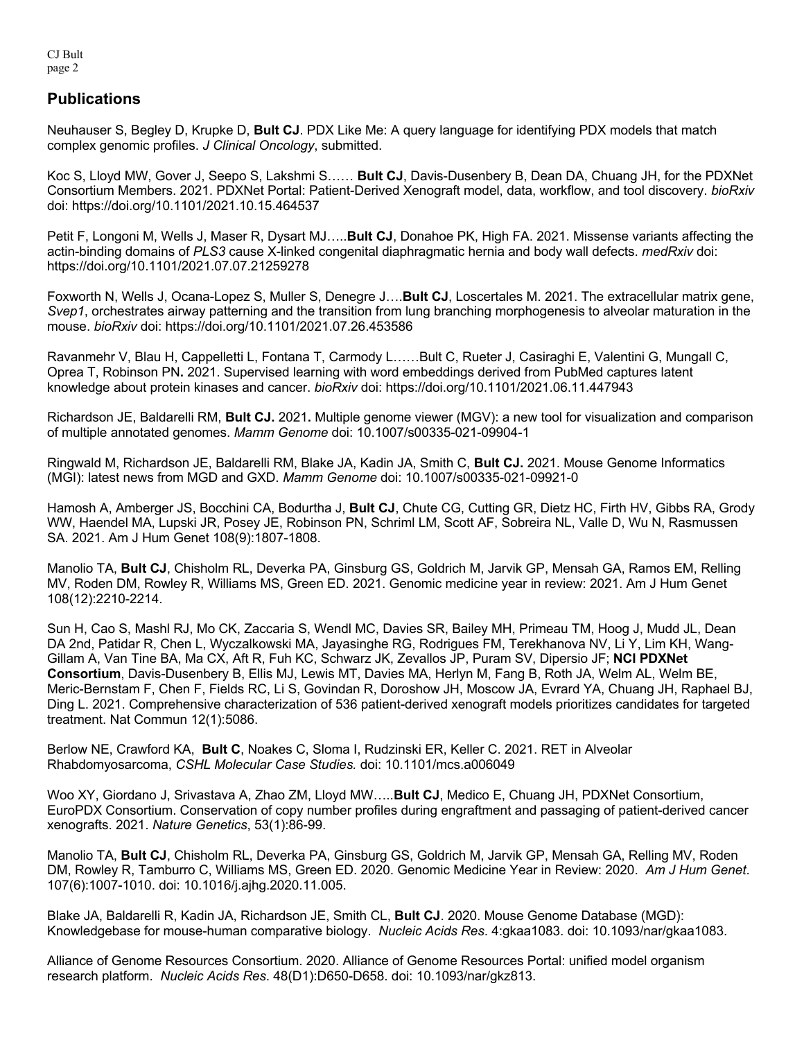## **Publications**

Neuhauser S, Begley D, Krupke D, **Bult CJ**. PDX Like Me: A query language for identifying PDX models that match complex genomic profiles. *J Clinical Oncology*, submitted.

Koc S, Lloyd MW, Gover J, Seepo S, Lakshmi S…… **Bult CJ**, Davis-Dusenbery B, Dean DA, Chuang JH, for the PDXNet Consortium Members. 2021. PDXNet Portal: Patient-Derived Xenograft model, data, workflow, and tool discovery. *bioRxiv* doi: https://doi.org/10.1101/2021.10.15.464537

Petit F, Longoni M, Wells J, Maser R, Dysart MJ…..**Bult CJ**, Donahoe PK, High FA. 2021. Missense variants affecting the actin-binding domains of *PLS3* cause X-linked congenital diaphragmatic hernia and body wall defects. *medRxiv* doi: https://doi.org/10.1101/2021.07.07.21259278

Foxworth N, Wells J, Ocana-Lopez S, Muller S, Denegre J….**Bult CJ**, Loscertales M. 2021. The extracellular matrix gene, *Svep1*, orchestrates airway patterning and the transition from lung branching morphogenesis to alveolar maturation in the mouse. *bioRxiv* doi: https://doi.org/10.1101/2021.07.26.453586

Ravanmehr V, Blau H, Cappelletti L, Fontana T, Carmody L……Bult C, Rueter J, Casiraghi E, Valentini G, Mungall C, Oprea T, Robinson PN**.** 2021. Supervised learning with word embeddings derived from PubMed captures latent knowledge about protein kinases and cancer. *bioRxiv* doi: https://doi.org/10.1101/2021.06.11.447943

Richardson JE, Baldarelli RM, **Bult CJ.** 2021**.** Multiple genome viewer (MGV): a new tool for visualization and comparison of multiple annotated genomes. *Mamm Genome* doi: 10.1007/s00335-021-09904-1

Ringwald M, Richardson JE, Baldarelli RM, Blake JA, Kadin JA, Smith C, **Bult CJ.** 2021. Mouse Genome Informatics (MGI): latest news from MGD and GXD. *Mamm Genome* doi: 10.1007/s00335-021-09921-0

Hamosh A, Amberger JS, Bocchini CA, Bodurtha J, **Bult CJ**, Chute CG, Cutting GR, Dietz HC, Firth HV, Gibbs RA, Grody WW, Haendel MA, Lupski JR, Posey JE, Robinson PN, Schriml LM, Scott AF, Sobreira NL, Valle D, Wu N, Rasmussen SA. 2021. Am J Hum Genet 108(9):1807-1808.

Manolio TA, **Bult CJ**, Chisholm RL, Deverka PA, Ginsburg GS, Goldrich M, Jarvik GP, Mensah GA, Ramos EM, Relling MV, Roden DM, Rowley R, Williams MS, Green ED. 2021. Genomic medicine year in review: 2021. Am J Hum Genet 108(12):2210-2214.

Sun H, Cao S, Mashl RJ, Mo CK, Zaccaria S, Wendl MC, Davies SR, Bailey MH, Primeau TM, Hoog J, Mudd JL, Dean DA 2nd, Patidar R, Chen L, Wyczalkowski MA, Jayasinghe RG, Rodrigues FM, Terekhanova NV, Li Y, Lim KH, Wang-Gillam A, Van Tine BA, Ma CX, Aft R, Fuh KC, Schwarz JK, Zevallos JP, Puram SV, Dipersio JF; **NCI PDXNet Consortium**, Davis-Dusenbery B, Ellis MJ, Lewis MT, Davies MA, Herlyn M, Fang B, Roth JA, Welm AL, Welm BE, Meric-Bernstam F, Chen F, Fields RC, Li S, Govindan R, Doroshow JH, Moscow JA, Evrard YA, Chuang JH, Raphael BJ, Ding L. 2021. Comprehensive characterization of 536 patient-derived xenograft models prioritizes candidates for targeted treatment. Nat Commun 12(1):5086.

Berlow NE, Crawford KA, **Bult C**, Noakes C, Sloma I, Rudzinski ER, Keller C. 2021. RET in Alveolar Rhabdomyosarcoma, *CSHL Molecular Case Studies.* doi: 10.1101/mcs.a006049

Woo XY, Giordano J, Srivastava A, Zhao ZM, Lloyd MW…..**Bult CJ**, Medico E, Chuang JH, PDXNet Consortium, EuroPDX Consortium. Conservation of copy number profiles during engraftment and passaging of patient-derived cancer xenografts. 2021. *Nature Genetics*, 53(1):86-99.

Manolio TA, **Bult CJ**, Chisholm RL, Deverka PA, Ginsburg GS, Goldrich M, Jarvik GP, Mensah GA, Relling MV, Roden DM, Rowley R, Tamburro C, Williams MS, Green ED. 2020. Genomic Medicine Year in Review: 2020. *Am J Hum Genet*. 107(6):1007-1010. doi: 10.1016/j.ajhg.2020.11.005.

Blake JA, Baldarelli R, Kadin JA, Richardson JE, Smith CL, **Bult CJ**. 2020. Mouse Genome Database (MGD): Knowledgebase for mouse-human comparative biology. *Nucleic Acids Res*. 4:gkaa1083. doi: 10.1093/nar/gkaa1083.

Alliance of Genome Resources Consortium. 2020. Alliance of Genome Resources Portal: unified model organism research platform. *Nucleic Acids Res*. 48(D1):D650-D658. doi: 10.1093/nar/gkz813.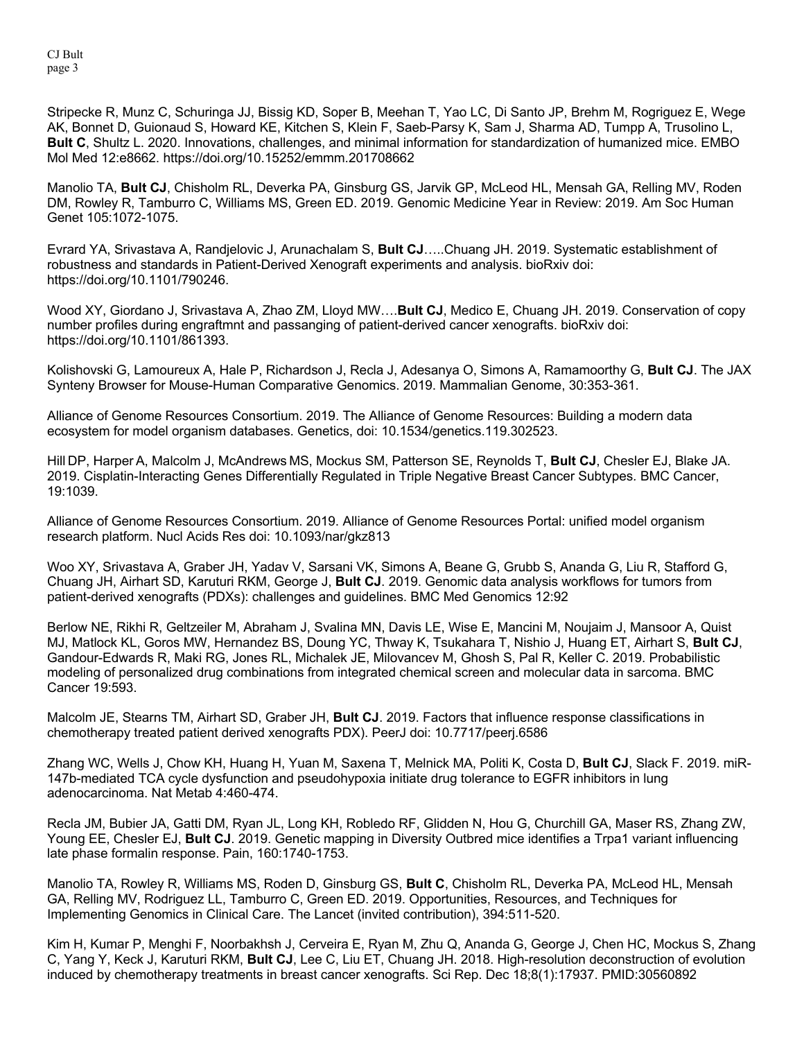Stripecke R, Munz C, Schuringa JJ, Bissig KD, Soper B, Meehan T, Yao LC, Di Santo JP, Brehm M, Rogriguez E, Wege AK, Bonnet D, Guionaud S, Howard KE, Kitchen S, Klein F, Saeb-Parsy K, Sam J, Sharma AD, Tumpp A, Trusolino L, **Bult C**, Shultz L. 2020. Innovations, challenges, and minimal information for standardization of humanized mice. EMBO Mol Med 12:e8662. https://doi.org/10.15252/emmm.201708662

Manolio TA, **Bult CJ**, Chisholm RL, Deverka PA, Ginsburg GS, Jarvik GP, McLeod HL, Mensah GA, Relling MV, Roden DM, Rowley R, Tamburro C, Williams MS, Green ED. 2019. Genomic Medicine Year in Review: 2019. Am Soc Human Genet 105:1072-1075.

Evrard YA, Srivastava A, Randjelovic J, Arunachalam S, **Bult CJ**…..Chuang JH. 2019. Systematic establishment of robustness and standards in Patient-Derived Xenograft experiments and analysis. bioRxiv doi: https://doi.org/10.1101/790246.

Wood XY, Giordano J, Srivastava A, Zhao ZM, Lloyd MW….**Bult CJ**, Medico E, Chuang JH. 2019. Conservation of copy number profiles during engraftmnt and passanging of patient-derived cancer xenografts. bioRxiv doi: https://doi.org/10.1101/861393.

Kolishovski G, Lamoureux A, Hale P, Richardson J, Recla J, Adesanya O, Simons A, Ramamoorthy G, **Bult CJ**. The JAX Synteny Browser for Mouse-Human Comparative Genomics. 2019. Mammalian Genome, 30:353-361.

Alliance of Genome Resources Consortium. 2019. The Alliance of Genome Resources: Building a modern data ecosystem for model organism databases. Genetics, doi: 10.1534/genetics.119.302523.

Hill DP, Harper A, Malcolm J, McAndrews MS, Mockus SM, Patterson SE, Reynolds T, **Bult CJ**, Chesler EJ, Blake JA. 2019. Cisplatin-Interacting Genes Differentially Regulated in Triple Negative Breast Cancer Subtypes*.* BMC Cancer, 19:1039.

Alliance of Genome Resources Consortium. 2019. Alliance of Genome Resources Portal: unified model organism research platform. Nucl Acids Res doi: 10.1093/nar/gkz813

Woo XY, Srivastava A, Graber JH, Yadav V, Sarsani VK, Simons A, Beane G, Grubb S, Ananda G, Liu R, Stafford G, Chuang JH, Airhart SD, Karuturi RKM, George J, **Bult CJ**. 2019. Genomic data analysis workflows for tumors from patient-derived xenografts (PDXs): challenges and guidelines. BMC Med Genomics 12:92

Berlow NE, Rikhi R, Geltzeiler M, Abraham J, Svalina MN, Davis LE, Wise E, Mancini M, Noujaim J, Mansoor A, Quist MJ, Matlock KL, Goros MW, Hernandez BS, Doung YC, Thway K, Tsukahara T, Nishio J, Huang ET, Airhart S, **Bult CJ**, Gandour-Edwards R, Maki RG, Jones RL, Michalek JE, Milovancev M, Ghosh S, Pal R, Keller C. 2019. Probabilistic modeling of personalized drug combinations from integrated chemical screen and molecular data in sarcoma. BMC Cancer 19:593.

Malcolm JE, Stearns TM, Airhart SD, Graber JH, **Bult CJ**. 2019. Factors that influence response classifications in chemotherapy treated patient derived xenografts PDX). PeerJ doi: 10.7717/peerj.6586

Zhang WC, Wells J, Chow KH, Huang H, Yuan M, Saxena T, Melnick MA, Politi K, Costa D, **Bult CJ**, Slack F. 2019. miR-147b-mediated TCA cycle dysfunction and pseudohypoxia initiate drug tolerance to EGFR inhibitors in lung adenocarcinoma. Nat Metab 4:460-474.

Recla JM, Bubier JA, Gatti DM, Ryan JL, Long KH, Robledo RF, Glidden N, Hou G, Churchill GA, Maser RS, Zhang ZW, Young EE, Chesler EJ, **Bult CJ**. 2019. Genetic mapping in Diversity Outbred mice identifies a Trpa1 variant influencing late phase formalin response. Pain, 160:1740-1753.

Manolio TA, Rowley R, Williams MS, Roden D, Ginsburg GS, **Bult C**, Chisholm RL, Deverka PA, McLeod HL, Mensah GA, Relling MV, Rodriguez LL, Tamburro C, Green ED. 2019. Opportunities, Resources, and Techniques for Implementing Genomics in Clinical Care. The Lancet (invited contribution), 394:511-520.

Kim H, Kumar P, Menghi F, Noorbakhsh J, Cerveira E, Ryan M, Zhu Q, Ananda G, George J, Chen HC, Mockus S, Zhang C, Yang Y, Keck J, Karuturi RKM, **Bult CJ**, Lee C, Liu ET, Chuang JH. 2018. High-resolution deconstruction of evolution induced by chemotherapy treatments in breast cancer xenografts. Sci Rep. Dec 18;8(1):17937. PMID:30560892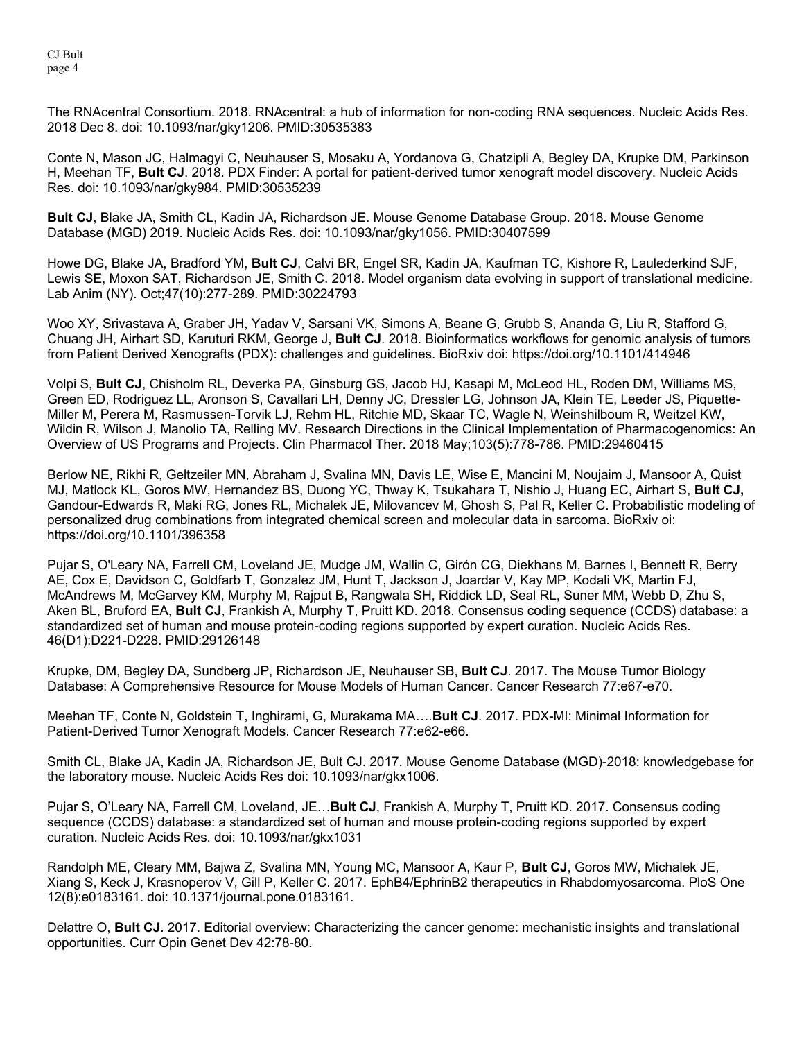The RNAcentral Consortium. 2018. RNAcentral: a hub of information for non-coding RNA sequences. Nucleic Acids Res. 2018 Dec 8. doi: 10.1093/nar/gky1206. PMID:30535383

Conte N, Mason JC, Halmagyi C, Neuhauser S, Mosaku A, Yordanova G, Chatzipli A, Begley DA, Krupke DM, Parkinson H, Meehan TF, **Bult CJ**. 2018. PDX Finder: A portal for patient-derived tumor xenograft model discovery. Nucleic Acids Res. doi: 10.1093/nar/gky984. PMID:30535239

**Bult CJ**, Blake JA, Smith CL, Kadin JA, Richardson JE. Mouse Genome Database Group. 2018. Mouse Genome Database (MGD) 2019. Nucleic Acids Res. doi: 10.1093/nar/gky1056. PMID:30407599

Howe DG, Blake JA, Bradford YM, **Bult CJ**, Calvi BR, Engel SR, Kadin JA, Kaufman TC, Kishore R, Laulederkind SJF, Lewis SE, Moxon SAT, Richardson JE, Smith C. 2018. Model organism data evolving in support of translational medicine. Lab Anim (NY). Oct;47(10):277-289. PMID:30224793

Woo XY, Srivastava A, Graber JH, Yadav V, Sarsani VK, Simons A, Beane G, Grubb S, Ananda G, Liu R, Stafford G, Chuang JH, Airhart SD, Karuturi RKM, George J, **Bult CJ**. 2018. Bioinformatics workflows for genomic analysis of tumors from Patient Derived Xenografts (PDX): challenges and guidelines. BioRxiv doi: https://doi.org/10.1101/414946

Volpi S, **Bult CJ**, Chisholm RL, Deverka PA, Ginsburg GS, Jacob HJ, Kasapi M, McLeod HL, Roden DM, Williams MS, Green ED, Rodriguez LL, Aronson S, Cavallari LH, Denny JC, Dressler LG, Johnson JA, Klein TE, Leeder JS, Piquette-Miller M, Perera M, Rasmussen-Torvik LJ, Rehm HL, Ritchie MD, Skaar TC, Wagle N, Weinshilboum R, Weitzel KW, Wildin R, Wilson J, Manolio TA, Relling MV. Research Directions in the Clinical Implementation of Pharmacogenomics: An Overview of US Programs and Projects. Clin Pharmacol Ther. 2018 May;103(5):778-786. PMID:29460415

Berlow NE, Rikhi R, Geltzeiler MN, Abraham J, Svalina MN, Davis LE, Wise E, Mancini M, Noujaim J, Mansoor A, Quist MJ, Matlock KL, Goros MW, Hernandez BS, Duong YC, Thway K, Tsukahara T, Nishio J, Huang EC, Airhart S, **Bult CJ,** Gandour-Edwards R, Maki RG, Jones RL, Michalek JE, Milovancev M, Ghosh S, Pal R, Keller C. Probabilistic modeling of personalized drug combinations from integrated chemical screen and molecular data in sarcoma. BioRxiv oi: https://doi.org/10.1101/396358

Pujar S, O'Leary NA, Farrell CM, Loveland JE, Mudge JM, Wallin C, Girón CG, Diekhans M, Barnes I, Bennett R, Berry AE, Cox E, Davidson C, Goldfarb T, Gonzalez JM, Hunt T, Jackson J, Joardar V, Kay MP, Kodali VK, Martin FJ, McAndrews M, McGarvey KM, Murphy M, Rajput B, Rangwala SH, Riddick LD, Seal RL, Suner MM, Webb D, Zhu S, Aken BL, Bruford EA, **Bult CJ**, Frankish A, Murphy T, Pruitt KD. 2018. Consensus coding sequence (CCDS) database: a standardized set of human and mouse protein-coding regions supported by expert curation. Nucleic Acids Res. 46(D1):D221-D228. PMID:29126148

Krupke, DM, Begley DA, Sundberg JP, Richardson JE, Neuhauser SB, **Bult CJ**. 2017. The Mouse Tumor Biology Database: A Comprehensive Resource for Mouse Models of Human Cancer. Cancer Research 77:e67-e70.

Meehan TF, Conte N, Goldstein T, Inghirami, G, Murakama MA….**Bult CJ**. 2017. PDX-MI: Minimal Information for Patient-Derived Tumor Xenograft Models. Cancer Research 77:e62-e66.

Smith CL, Blake JA, Kadin JA, Richardson JE, Bult CJ. 2017. Mouse Genome Database (MGD)-2018: knowledgebase for the laboratory mouse. Nucleic Acids Res doi: 10.1093/nar/gkx1006.

Pujar S, O'Leary NA, Farrell CM, Loveland, JE…**Bult CJ**, Frankish A, Murphy T, Pruitt KD. 2017. Consensus coding sequence (CCDS) database: a standardized set of human and mouse protein-coding regions supported by expert curation. Nucleic Acids Res. doi: 10.1093/nar/gkx1031

Randolph ME, Cleary MM, Bajwa Z, Svalina MN, Young MC, Mansoor A, Kaur P, **Bult CJ**, Goros MW, Michalek JE, Xiang S, Keck J, Krasnoperov V, Gill P, Keller C. 2017. EphB4/EphrinB2 therapeutics in Rhabdomyosarcoma. PloS One 12(8):e0183161. doi: 10.1371/journal.pone.0183161.

Delattre O, **Bult CJ**. 2017. Editorial overview: Characterizing the cancer genome: mechanistic insights and translational opportunities. Curr Opin Genet Dev 42:78-80.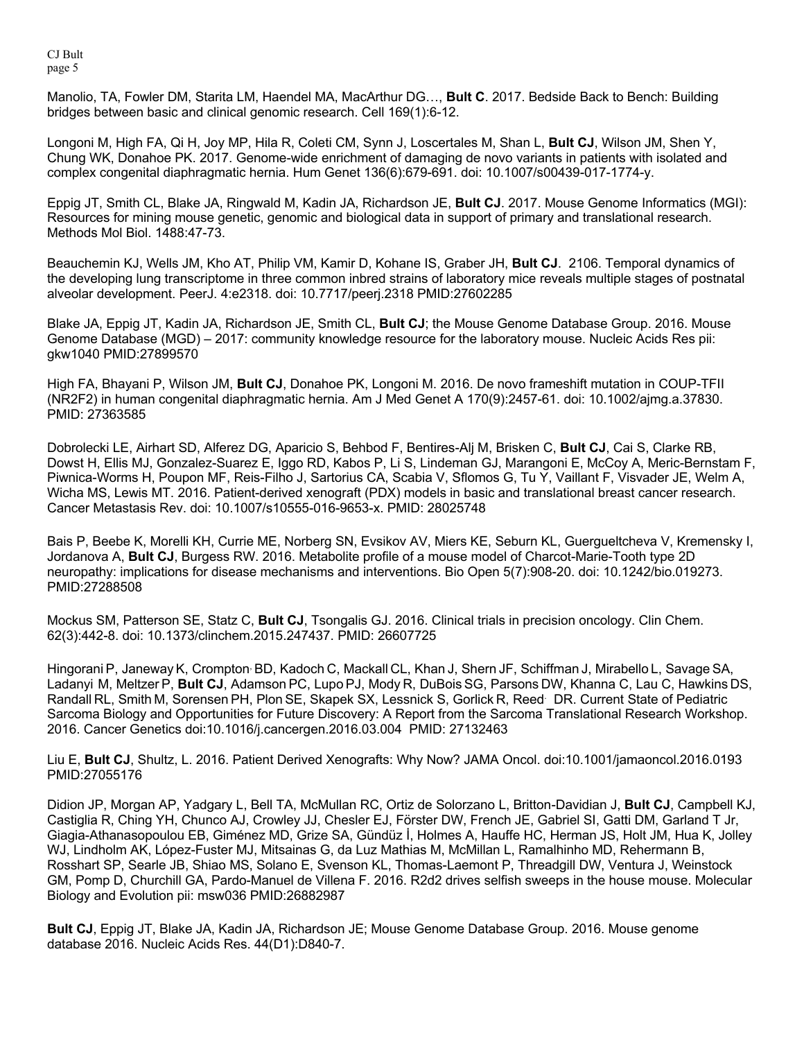Manolio, TA, Fowler DM, Starita LM, Haendel MA, MacArthur DG…, **Bult C**. 2017. Bedside Back to Bench: Building bridges between basic and clinical genomic research. Cell 169(1):6-12.

Longoni M, High FA, Qi H, Joy MP, Hila R, Coleti CM, Synn J, Loscertales M, Shan L, **Bult CJ**, Wilson JM, Shen Y, Chung WK, Donahoe PK. 2017. Genome-wide enrichment of damaging de novo variants in patients with isolated and complex congenital diaphragmatic hernia. Hum Genet 136(6):679-691. doi: 10.1007/s00439-017-1774-y.

Eppig JT, Smith CL, Blake JA, Ringwald M, Kadin JA, Richardson JE, **Bult CJ**. 2017. Mouse Genome Informatics (MGI): Resources for mining mouse genetic, genomic and biological data in support of primary and translational research. Methods Mol Biol. 1488:47-73.

Beauchemin KJ, Wells JM, Kho AT, Philip VM, Kamir D, Kohane IS, Graber JH, **Bult CJ**. 2106. Temporal dynamics of the developing lung transcriptome in three common inbred strains of laboratory mice reveals multiple stages of postnatal alveolar development. PeerJ. 4:e2318. doi: 10.7717/peerj.2318 PMID:27602285

Blake JA, Eppig JT, Kadin JA, Richardson JE, Smith CL, **Bult CJ**; the Mouse Genome Database Group. 2016. Mouse Genome Database (MGD) – 2017: community knowledge resource for the laboratory mouse. Nucleic Acids Res pii: gkw1040 PMID:27899570

High FA, Bhayani P, Wilson JM, **Bult CJ**, Donahoe PK, Longoni M. 2016. De novo frameshift mutation in COUP-TFII (NR2F2) in human congenital diaphragmatic hernia. Am J Med Genet A 170(9):2457-61. doi: 10.1002/ajmg.a.37830. PMID: 27363585

Dobrolecki LE, Airhart SD, Alferez DG, Aparicio S, Behbod F, Bentires-Alj M, Brisken C, **Bult CJ**, Cai S, Clarke RB, Dowst H, Ellis MJ, Gonzalez-Suarez E, Iggo RD, Kabos P, Li S, Lindeman GJ, Marangoni E, McCoy A, Meric-Bernstam F, Piwnica-Worms H, Poupon MF, Reis-Filho J, Sartorius CA, Scabia V, Sflomos G, Tu Y, Vaillant F, Visvader JE, Welm A, Wicha MS, Lewis MT. 2016. Patient-derived xenograft (PDX) models in basic and translational breast cancer research. Cancer Metastasis Rev. doi: 10.1007/s10555-016-9653-x. PMID: 28025748

Bais P, Beebe K, Morelli KH, Currie ME, Norberg SN, Evsikov AV, Miers KE, Seburn KL, Guergueltcheva V, Kremensky I, Jordanova A, **Bult CJ**, Burgess RW. 2016. Metabolite profile of a mouse model of Charcot-Marie-Tooth type 2D neuropathy: implications for disease mechanisms and interventions. Bio Open 5(7):908-20. doi: 10.1242/bio.019273. PMID:27288508

Mockus SM, Patterson SE, Statz C, **Bult CJ**, Tsongalis GJ. 2016. Clinical trials in precision oncology. Clin Chem. 62(3):442-8. doi: 10.1373/clinchem.2015.247437. PMID: 26607725

Hingorani P, Janeway K, Crompton, BD, Kadoch C, Mackall CL, Khan J, Shern JF, Schiffman J, Mirabello L, Savage SA, Ladanyi M, Meltzer P, **Bult CJ**, Adamson PC, Lupo PJ, Mody R, DuBois SG, Parsons DW, Khanna C, Lau C, Hawkins DS, Randall RL, Smith M, Sorensen PH, Plon SE, Skapek SX, Lessnick S, Gorlick R, Reed. DR. Current State of Pediatric Sarcoma Biology and Opportunities for Future Discovery: A Report from the Sarcoma Translational Research Workshop. 2016. Cancer Genetics doi:10.1016/j.cancergen.2016.03.004 PMID: 27132463

Liu E, **Bult CJ**, Shultz, L. 2016. Patient Derived Xenografts: Why Now? JAMA Oncol. doi:10.1001/jamaoncol.2016.0193 PMID:27055176

Didion JP, Morgan AP, Yadgary L, Bell TA, McMullan RC, Ortiz de Solorzano L, Britton-Davidian J, **Bult CJ**, Campbell KJ, Castiglia R, Ching YH, Chunco AJ, Crowley JJ, Chesler EJ, Förster DW, French JE, Gabriel SI, Gatti DM, Garland T Jr, Giagia-Athanasopoulou EB, Giménez MD, Grize SA, Gündüz İ, Holmes A, Hauffe HC, Herman JS, Holt JM, Hua K, Jolley WJ, Lindholm AK, López-Fuster MJ, Mitsainas G, da Luz Mathias M, McMillan L, Ramalhinho MD, Rehermann B, Rosshart SP, Searle JB, Shiao MS, Solano E, Svenson KL, Thomas-Laemont P, Threadgill DW, Ventura J, Weinstock GM, Pomp D, Churchill GA, Pardo-Manuel de Villena F. 2016. R2d2 drives selfish sweeps in the house mouse. Molecular Biology and Evolution pii: msw036 PMID:26882987

**Bult CJ**, Eppig JT, Blake JA, Kadin JA, Richardson JE; Mouse Genome Database Group. 2016. Mouse genome database 2016. Nucleic Acids Res. 44(D1):D840-7.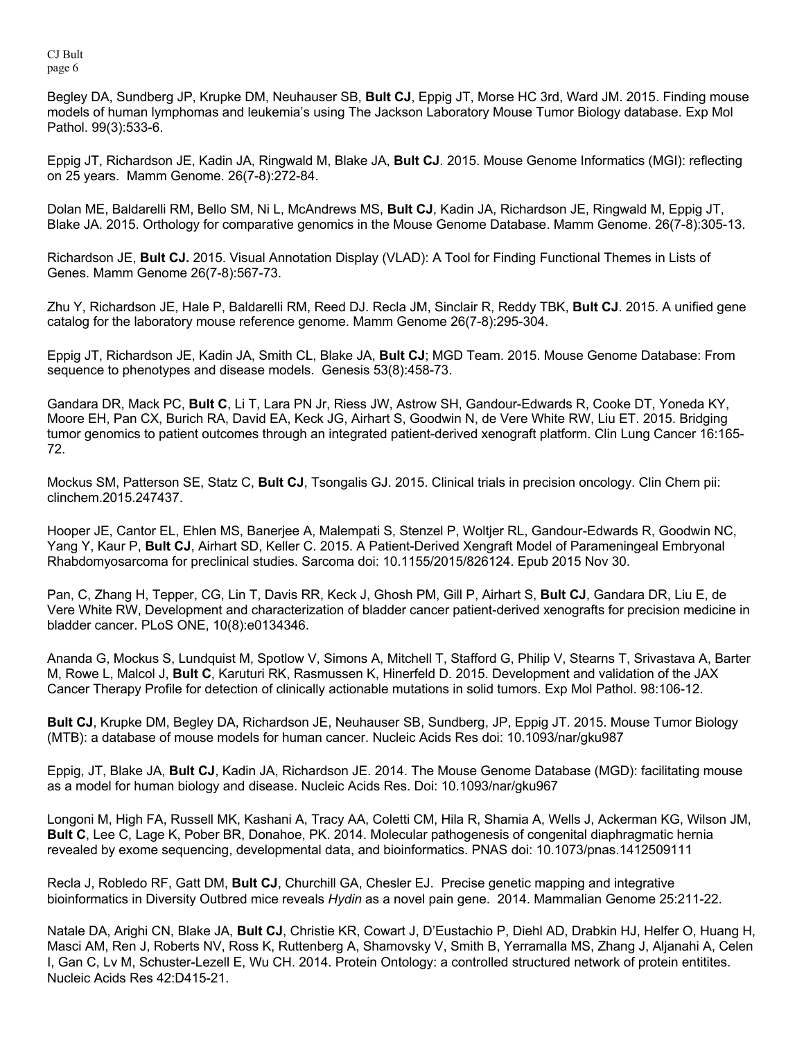Begley DA, Sundberg JP, Krupke DM, Neuhauser SB, **Bult CJ**, Eppig JT, Morse HC 3rd, Ward JM. 2015. Finding mouse models of human lymphomas and leukemia's using The Jackson Laboratory Mouse Tumor Biology database. Exp Mol Pathol. 99(3):533-6.

Eppig JT, Richardson JE, Kadin JA, Ringwald M, Blake JA, **Bult CJ**. 2015. Mouse Genome Informatics (MGI): reflecting on 25 years. Mamm Genome. 26(7-8):272-84.

Dolan ME, Baldarelli RM, Bello SM, Ni L, McAndrews MS, **Bult CJ**, Kadin JA, Richardson JE, Ringwald M, Eppig JT, Blake JA. 2015. Orthology for comparative genomics in the Mouse Genome Database. Mamm Genome. 26(7-8):305-13.

Richardson JE, **Bult CJ.** 2015. Visual Annotation Display (VLAD): A Tool for Finding Functional Themes in Lists of Genes. Mamm Genome 26(7-8):567-73.

Zhu Y, Richardson JE, Hale P, Baldarelli RM, Reed DJ. Recla JM, Sinclair R, Reddy TBK, **Bult CJ**. 2015. A unified gene catalog for the laboratory mouse reference genome. Mamm Genome 26(7-8):295-304.

Eppig JT, Richardson JE, Kadin JA, Smith CL, Blake JA, **Bult CJ**; MGD Team. 2015. Mouse Genome Database: From sequence to phenotypes and disease models. Genesis 53(8):458-73.

Gandara DR, Mack PC, **Bult C**, Li T, Lara PN Jr, Riess JW, Astrow SH, Gandour-Edwards R, Cooke DT, Yoneda KY, Moore EH, Pan CX, Burich RA, David EA, Keck JG, Airhart S, Goodwin N, de Vere White RW, Liu ET. 2015. Bridging tumor genomics to patient outcomes through an integrated patient-derived xenograft platform. Clin Lung Cancer 16:165- 72.

Mockus SM, Patterson SE, Statz C, **Bult CJ**, Tsongalis GJ. 2015. Clinical trials in precision oncology. Clin Chem pii: clinchem.2015.247437.

Hooper JE, Cantor EL, Ehlen MS, Banerjee A, Malempati S, Stenzel P, Woltjer RL, Gandour-Edwards R, Goodwin NC, Yang Y, Kaur P, **Bult CJ**, Airhart SD, Keller C. 2015. A Patient-Derived Xengraft Model of Parameningeal Embryonal Rhabdomyosarcoma for preclinical studies. Sarcoma doi: 10.1155/2015/826124. Epub 2015 Nov 30.

Pan, C, Zhang H, Tepper, CG, Lin T, Davis RR, Keck J, Ghosh PM, Gill P, Airhart S, **Bult CJ**, Gandara DR, Liu E, de Vere White RW, Development and characterization of bladder cancer patient-derived xenografts for precision medicine in bladder cancer. PLoS ONE, 10(8):e0134346.

Ananda G, Mockus S, Lundquist M, Spotlow V, Simons A, Mitchell T, Stafford G, Philip V, Stearns T, Srivastava A, Barter M, Rowe L, Malcol J, **Bult C**, Karuturi RK, Rasmussen K, Hinerfeld D. 2015. Development and validation of the JAX Cancer Therapy Profile for detection of clinically actionable mutations in solid tumors. Exp Mol Pathol. 98:106-12.

**Bult CJ**, Krupke DM, Begley DA, Richardson JE, Neuhauser SB, Sundberg, JP, Eppig JT. 2015. Mouse Tumor Biology (MTB): a database of mouse models for human cancer. Nucleic Acids Res doi: 10.1093/nar/gku987

Eppig, JT, Blake JA, **Bult CJ**, Kadin JA, Richardson JE. 2014. The Mouse Genome Database (MGD): facilitating mouse as a model for human biology and disease. Nucleic Acids Res. Doi: 10.1093/nar/gku967

Longoni M, High FA, Russell MK, Kashani A, Tracy AA, Coletti CM, Hila R, Shamia A, Wells J, Ackerman KG, Wilson JM, **Bult C**, Lee C, Lage K, Pober BR, Donahoe, PK. 2014. Molecular pathogenesis of congenital diaphragmatic hernia revealed by exome sequencing, developmental data, and bioinformatics. PNAS doi: 10.1073/pnas.1412509111

Recla J, Robledo RF, Gatt DM, **Bult CJ**, Churchill GA, Chesler EJ. Precise genetic mapping and integrative bioinformatics in Diversity Outbred mice reveals *Hydin* as a novel pain gene. 2014. Mammalian Genome 25:211-22.

Natale DA, Arighi CN, Blake JA, **Bult CJ**, Christie KR, Cowart J, D'Eustachio P, Diehl AD, Drabkin HJ, Helfer O, Huang H, Masci AM, Ren J, Roberts NV, Ross K, Ruttenberg A, Shamovsky V, Smith B, Yerramalla MS, Zhang J, Aljanahi A, Celen I, Gan C, Lv M, Schuster-Lezell E, Wu CH. 2014. Protein Ontology: a controlled structured network of protein entitites. Nucleic Acids Res 42:D415-21.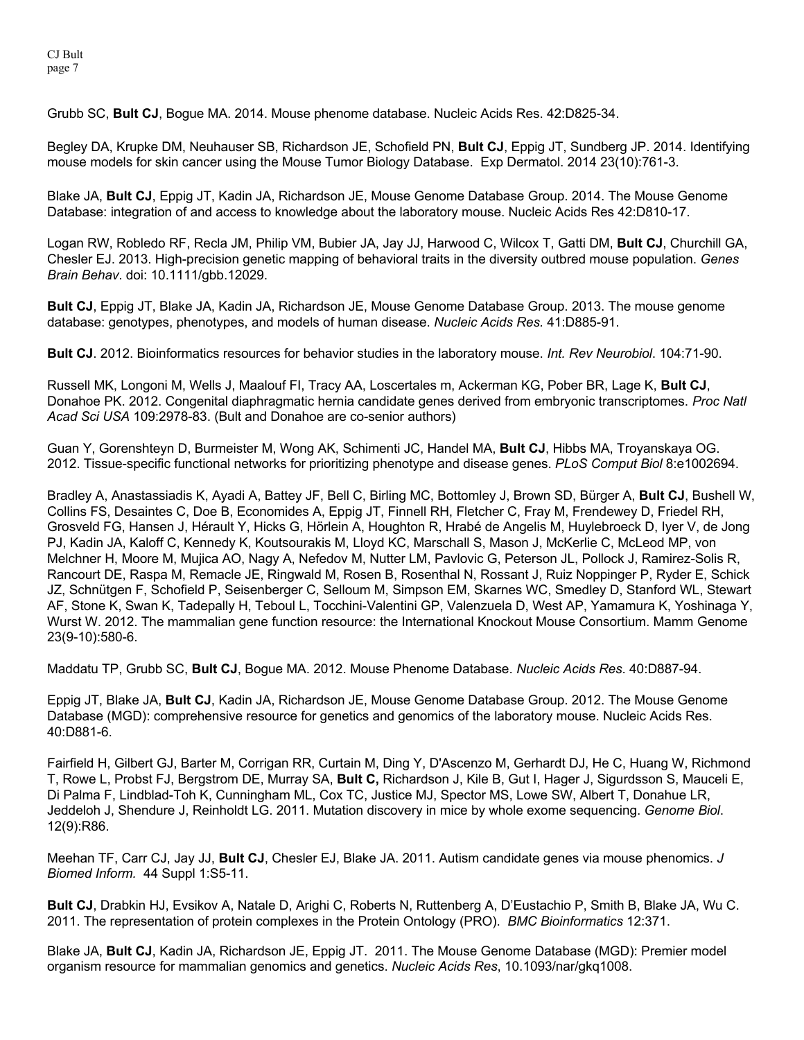Grubb SC, **Bult CJ**, Bogue MA. 2014. Mouse phenome database. Nucleic Acids Res. 42:D825-34.

Begley DA, Krupke DM, Neuhauser SB, Richardson JE, Schofield PN, **Bult CJ**, Eppig JT, Sundberg JP. 2014. Identifying mouse models for skin cancer using the Mouse Tumor Biology Database. Exp Dermatol. 2014 23(10):761-3.

Blake JA, **Bult CJ**, Eppig JT, Kadin JA, Richardson JE, Mouse Genome Database Group. 2014. The Mouse Genome Database: integration of and access to knowledge about the laboratory mouse. Nucleic Acids Res 42:D810-17.

Logan RW, Robledo RF, Recla JM, Philip VM, Bubier JA, Jay JJ, Harwood C, Wilcox T, Gatti DM, **Bult CJ**, Churchill GA, Chesler EJ. 2013. High-precision genetic mapping of behavioral traits in the diversity outbred mouse population. *Genes Brain Behav*. doi: 10.1111/gbb.12029.

**Bult CJ**, Eppig JT, Blake JA, Kadin JA, Richardson JE, Mouse Genome Database Group. 2013. The mouse genome database: genotypes, phenotypes, and models of human disease. *Nucleic Acids Res.* 41:D885-91.

**Bult CJ**. 2012. Bioinformatics resources for behavior studies in the laboratory mouse. *Int. Rev Neurobiol*. 104:71-90.

Russell MK, Longoni M, Wells J, Maalouf FI, Tracy AA, Loscertales m, Ackerman KG, Pober BR, Lage K, **Bult CJ**, Donahoe PK. 2012. Congenital diaphragmatic hernia candidate genes derived from embryonic transcriptomes. *Proc Natl Acad Sci USA* 109:2978-83. (Bult and Donahoe are co-senior authors)

Guan Y, Gorenshteyn D, Burmeister M, Wong AK, Schimenti JC, Handel MA, **Bult CJ**, Hibbs MA, Troyanskaya OG. 2012. Tissue-specific functional networks for prioritizing phenotype and disease genes. *PLoS Comput Biol* 8:e1002694.

Bradley A, Anastassiadis K, Ayadi A, Battey JF, Bell C, Birling MC, Bottomley J, Brown SD, Bürger A, **Bult CJ**, Bushell W, Collins FS, Desaintes C, Doe B, Economides A, Eppig JT, Finnell RH, Fletcher C, Fray M, Frendewey D, Friedel RH, Grosveld FG, Hansen J, Hérault Y, Hicks G, Hörlein A, Houghton R, Hrabé de Angelis M, Huylebroeck D, Iyer V, de Jong PJ, Kadin JA, Kaloff C, Kennedy K, Koutsourakis M, Lloyd KC, Marschall S, Mason J, McKerlie C, McLeod MP, von Melchner H, Moore M, Mujica AO, Nagy A, Nefedov M, Nutter LM, Pavlovic G, Peterson JL, Pollock J, Ramirez-Solis R, Rancourt DE, Raspa M, Remacle JE, Ringwald M, Rosen B, Rosenthal N, Rossant J, Ruiz Noppinger P, Ryder E, Schick JZ, Schnütgen F, Schofield P, Seisenberger C, Selloum M, Simpson EM, Skarnes WC, Smedley D, Stanford WL, Stewart AF, Stone K, Swan K, Tadepally H, Teboul L, Tocchini-Valentini GP, Valenzuela D, West AP, Yamamura K, Yoshinaga Y, Wurst W. 2012. The mammalian gene function resource: the International Knockout Mouse Consortium. Mamm Genome 23(9-10):580-6.

Maddatu TP, Grubb SC, **Bult CJ**, Bogue MA. 2012. Mouse Phenome Database. *Nucleic Acids Res*. 40:D887-94.

Eppig JT, Blake JA, **Bult CJ**, Kadin JA, Richardson JE, Mouse Genome Database Group. 2012. The Mouse Genome Database (MGD): comprehensive resource for genetics and genomics of the laboratory mouse. Nucleic Acids Res. 40:D881-6.

Fairfield H, Gilbert GJ, Barter M, Corrigan RR, Curtain M, Ding Y, D'Ascenzo M, Gerhardt DJ, He C, Huang W, Richmond T, Rowe L, Probst FJ, Bergstrom DE, Murray SA, **Bult C,** Richardson J, Kile B, Gut I, Hager J, Sigurdsson S, Mauceli E, Di Palma F, Lindblad-Toh K, Cunningham ML, Cox TC, Justice MJ, Spector MS, Lowe SW, Albert T, Donahue LR, Jeddeloh J, Shendure J, Reinholdt LG. 2011. Mutation discovery in mice by whole exome sequencing. *Genome Biol*. 12(9):R86.

Meehan TF, Carr CJ, Jay JJ, **Bult CJ**, Chesler EJ, Blake JA. 2011. Autism candidate genes via mouse phenomics. *J Biomed Inform.* 44 Suppl 1:S5-11.

**Bult CJ**, Drabkin HJ, Evsikov A, Natale D, Arighi C, Roberts N, Ruttenberg A, D'Eustachio P, Smith B, Blake JA, Wu C. 2011. The representation of protein complexes in the Protein Ontology (PRO). *BMC Bioinformatics* 12:371.

Blake JA, **Bult CJ**, Kadin JA, Richardson JE, Eppig JT. 2011. The Mouse Genome Database (MGD): Premier model organism resource for mammalian genomics and genetics. *Nucleic Acids Res*, 10.1093/nar/gkq1008.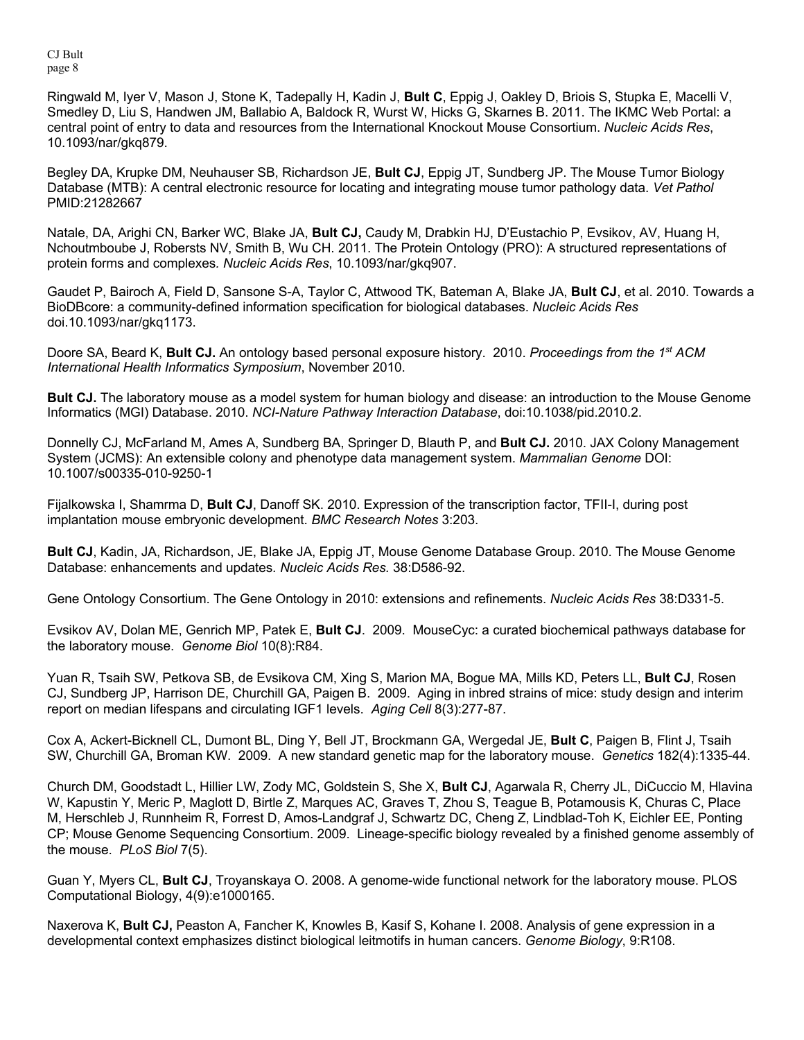Ringwald M, Iyer V, Mason J, Stone K, Tadepally H, Kadin J, **Bult C**, Eppig J, Oakley D, Briois S, Stupka E, Macelli V, Smedley D, Liu S, Handwen JM, Ballabio A, Baldock R, Wurst W, Hicks G, Skarnes B. 2011. The IKMC Web Portal: a central point of entry to data and resources from the International Knockout Mouse Consortium. *Nucleic Acids Res*, 10.1093/nar/gkq879.

Begley DA, Krupke DM, Neuhauser SB, Richardson JE, **Bult CJ**, Eppig JT, Sundberg JP. The Mouse Tumor Biology Database (MTB): A central electronic resource for locating and integrating mouse tumor pathology data. *Vet Pathol* PMID:21282667

Natale, DA, Arighi CN, Barker WC, Blake JA, **Bult CJ,** Caudy M, Drabkin HJ, D'Eustachio P, Evsikov, AV, Huang H, Nchoutmboube J, Robersts NV, Smith B, Wu CH. 2011. The Protein Ontology (PRO): A structured representations of protein forms and complexes*. Nucleic Acids Res*, 10.1093/nar/gkq907.

Gaudet P, Bairoch A, Field D, Sansone S-A, Taylor C, Attwood TK, Bateman A, Blake JA, **Bult CJ**, et al. 2010. Towards a BioDBcore: a community-defined information specification for biological databases. *Nucleic Acids Res* doi.10.1093/nar/gkq1173.

Doore SA, Beard K, **Bult CJ.** An ontology based personal exposure history. 2010. *Proceedings from the 1st ACM International Health Informatics Symposium*, November 2010.

**Bult CJ.** The laboratory mouse as a model system for human biology and disease: an introduction to the Mouse Genome Informatics (MGI) Database. 2010. *NCI-Nature Pathway Interaction Database*, doi:10.1038/pid.2010.2.

Donnelly CJ, McFarland M, Ames A, Sundberg BA, Springer D, Blauth P, and **Bult CJ.** 2010. JAX Colony Management System (JCMS): An extensible colony and phenotype data management system. *Mammalian Genome* DOI: 10.1007/s00335-010-9250-1

Fijalkowska I, Shamrma D, **Bult CJ**, Danoff SK. 2010. Expression of the transcription factor, TFII-I, during post implantation mouse embryonic development. *BMC Research Notes* 3:203.

**Bult CJ**, Kadin, JA, Richardson, JE, Blake JA, Eppig JT, Mouse Genome Database Group. 2010. The Mouse Genome Database: enhancements and updates*. Nucleic Acids Res.* 38:D586-92.

Gene Ontology Consortium. The Gene Ontology in 2010: extensions and refinements. *Nucleic Acids Res* 38:D331-5.

Evsikov AV, Dolan ME, Genrich MP, Patek E, **Bult CJ**. 2009. MouseCyc: a curated biochemical pathways database for the laboratory mouse. *Genome Biol* 10(8):R84.

Yuan R, Tsaih SW, Petkova SB, de Evsikova CM, Xing S, Marion MA, Bogue MA, Mills KD, Peters LL, **Bult CJ**, Rosen CJ, Sundberg JP, Harrison DE, Churchill GA, Paigen B. 2009. Aging in inbred strains of mice: study design and interim report on median lifespans and circulating IGF1 levels. *Aging Cell* 8(3):277-87.

Cox A, Ackert-Bicknell CL, Dumont BL, Ding Y, Bell JT, Brockmann GA, Wergedal JE, **Bult C**, Paigen B, Flint J, Tsaih SW, Churchill GA, Broman KW. 2009. A new standard genetic map for the laboratory mouse. *Genetics* 182(4):1335-44.

Church DM, Goodstadt L, Hillier LW, Zody MC, Goldstein S, She X, **Bult CJ**, Agarwala R, Cherry JL, DiCuccio M, Hlavina W, Kapustin Y, Meric P, Maglott D, Birtle Z, Marques AC, Graves T, Zhou S, Teague B, Potamousis K, Churas C, Place M, Herschleb J, Runnheim R, Forrest D, Amos-Landgraf J, Schwartz DC, Cheng Z, Lindblad-Toh K, Eichler EE, Ponting CP; Mouse Genome Sequencing Consortium. 2009. Lineage-specific biology revealed by a finished genome assembly of the mouse. *PLoS Biol* 7(5).

Guan Y, Myers CL, **Bult CJ**, Troyanskaya O. 2008. A genome-wide functional network for the laboratory mouse. PLOS Computational Biology, 4(9):e1000165.

Naxerova K, **Bult CJ,** Peaston A, Fancher K, Knowles B, Kasif S, Kohane I. 2008. Analysis of gene expression in a developmental context emphasizes distinct biological leitmotifs in human cancers. *Genome Biology*, 9:R108.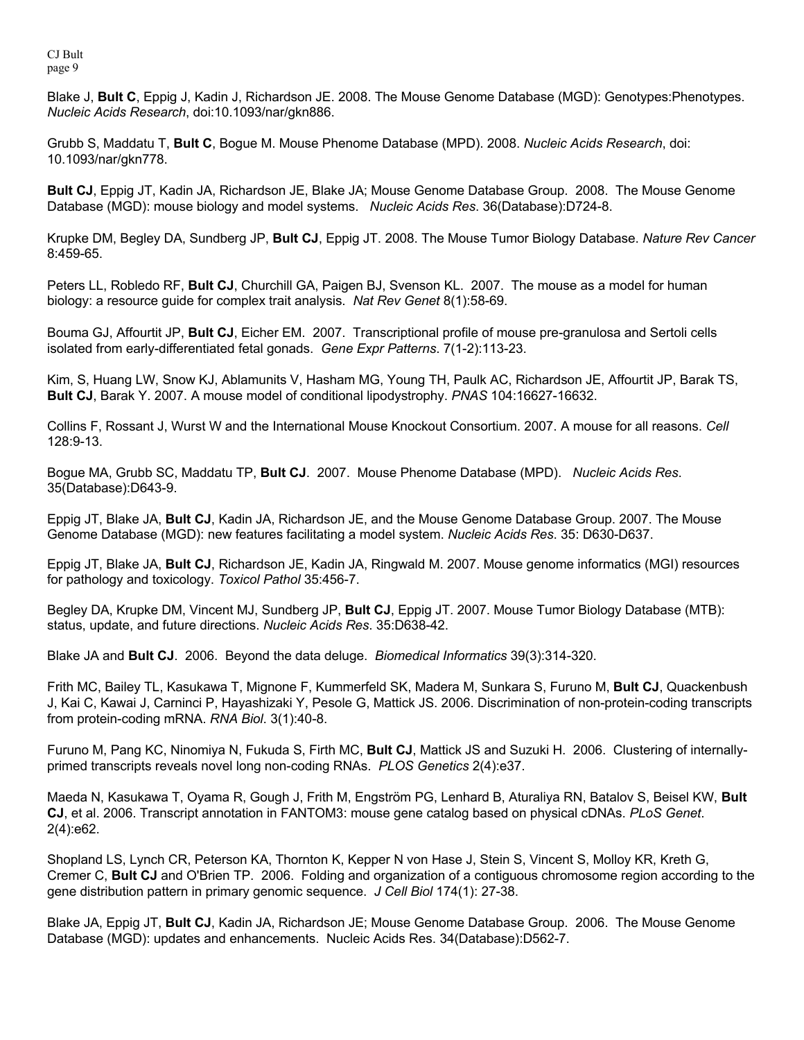Blake J, **Bult C**, Eppig J, Kadin J, Richardson JE. 2008. The Mouse Genome Database (MGD): Genotypes:Phenotypes. *Nucleic Acids Research*, doi:10.1093/nar/gkn886.

Grubb S, Maddatu T, **Bult C**, Bogue M. Mouse Phenome Database (MPD). 2008. *Nucleic Acids Research*, doi: 10.1093/nar/gkn778.

**Bult CJ**, Eppig JT, Kadin JA, Richardson JE, Blake JA; Mouse Genome Database Group. 2008. The Mouse Genome Database (MGD): mouse biology and model systems. *Nucleic Acids Res*. 36(Database):D724-8.

Krupke DM, Begley DA, Sundberg JP, **Bult CJ**, Eppig JT. 2008. The Mouse Tumor Biology Database. *Nature Rev Cancer* 8:459-65.

Peters LL, Robledo RF, **Bult CJ**, Churchill GA, Paigen BJ, Svenson KL. 2007. The mouse as a model for human biology: a resource guide for complex trait analysis. *Nat Rev Genet* 8(1):58-69.

Bouma GJ, Affourtit JP, **Bult CJ**, Eicher EM. 2007. Transcriptional profile of mouse pre-granulosa and Sertoli cells isolated from early-differentiated fetal gonads. *Gene Expr Patterns*. 7(1-2):113-23.

Kim, S, Huang LW, Snow KJ, Ablamunits V, Hasham MG, Young TH, Paulk AC, Richardson JE, Affourtit JP, Barak TS, **Bult CJ**, Barak Y. 2007. A mouse model of conditional lipodystrophy. *PNAS* 104:16627-16632.

Collins F, Rossant J, Wurst W and the International Mouse Knockout Consortium. 2007. A mouse for all reasons. *Cell* 128:9-13.

Bogue MA, Grubb SC, Maddatu TP, **Bult CJ**. 2007. Mouse Phenome Database (MPD). *Nucleic Acids Res*. 35(Database):D643-9.

Eppig JT, Blake JA, **Bult CJ**, Kadin JA, Richardson JE, and the Mouse Genome Database Group. 2007. The Mouse Genome Database (MGD): new features facilitating a model system. *Nucleic Acids Res*. 35: D630-D637.

Eppig JT, Blake JA, **Bult CJ**, Richardson JE, Kadin JA, Ringwald M. 2007. Mouse genome informatics (MGI) resources for pathology and toxicology. *Toxicol Pathol* 35:456-7.

Begley DA, Krupke DM, Vincent MJ, Sundberg JP, **Bult CJ**, Eppig JT. 2007. Mouse Tumor Biology Database (MTB): status, update, and future directions. *Nucleic Acids Res*. 35:D638-42.

Blake JA and **Bult CJ**. 2006. Beyond the data deluge. *Biomedical Informatics* 39(3):314-320.

Frith MC, Bailey TL, Kasukawa T, Mignone F, Kummerfeld SK, Madera M, Sunkara S, Furuno M, **Bult CJ**, Quackenbush J, Kai C, Kawai J, Carninci P, Hayashizaki Y, Pesole G, Mattick JS. 2006. Discrimination of non-protein-coding transcripts from protein-coding mRNA. *RNA Biol*. 3(1):40-8.

Furuno M, Pang KC, Ninomiya N, Fukuda S, Firth MC, **Bult CJ**, Mattick JS and Suzuki H. 2006. Clustering of internallyprimed transcripts reveals novel long non-coding RNAs. *PLOS Genetics* 2(4):e37.

Maeda N, Kasukawa T, Oyama R, Gough J, Frith M, Engström PG, Lenhard B, Aturaliya RN, Batalov S, Beisel KW, **Bult CJ**, et al. 2006. Transcript annotation in FANTOM3: mouse gene catalog based on physical cDNAs. *PLoS Genet*. 2(4):e62.

Shopland LS, Lynch CR, Peterson KA, Thornton K, Kepper N von Hase J, Stein S, Vincent S, Molloy KR, Kreth G, Cremer C, **Bult CJ** and O'Brien TP. 2006. Folding and organization of a contiguous chromosome region according to the gene distribution pattern in primary genomic sequence. *J Cell Biol* 174(1): 27-38.

Blake JA, Eppig JT, **Bult CJ**, Kadin JA, Richardson JE; Mouse Genome Database Group. 2006. The Mouse Genome Database (MGD): updates and enhancements. Nucleic Acids Res. 34(Database):D562-7.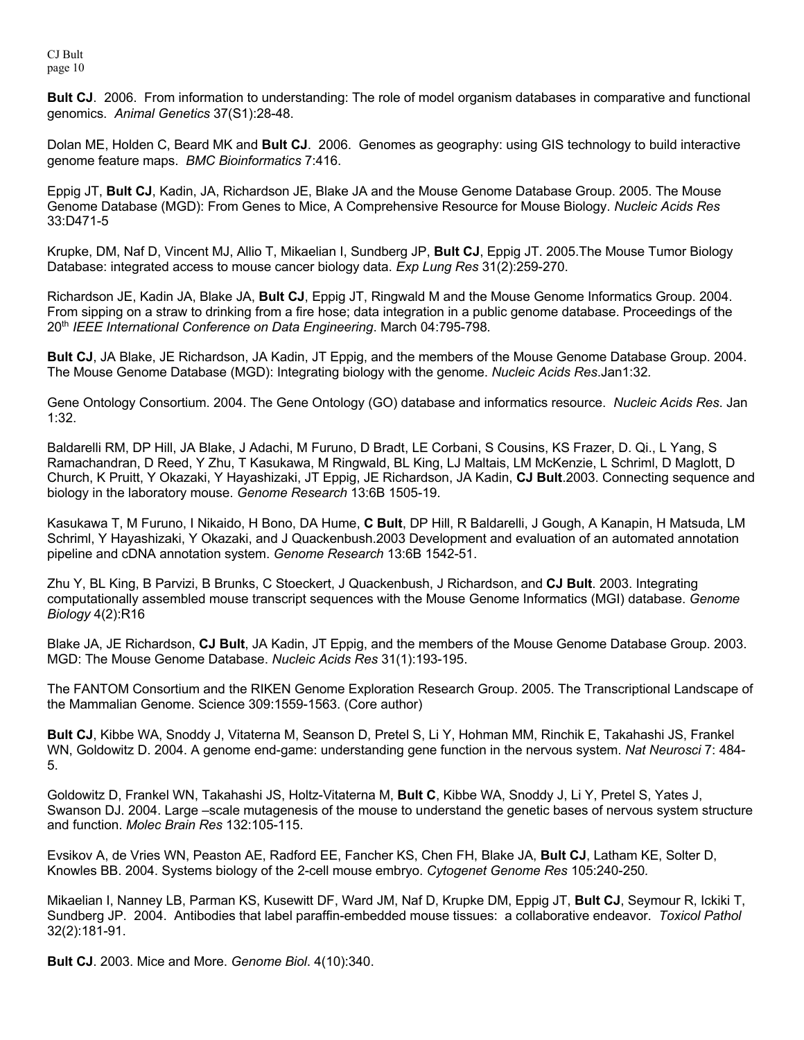**Bult CJ**. 2006. From information to understanding: The role of model organism databases in comparative and functional genomics. *Animal Genetics* 37(S1):28-48.

Dolan ME, Holden C, Beard MK and **Bult CJ**. 2006. Genomes as geography: using GIS technology to build interactive genome feature maps. *BMC Bioinformatics* 7:416.

Eppig JT, **Bult CJ**, Kadin, JA, Richardson JE, Blake JA and the Mouse Genome Database Group. 2005. The Mouse Genome Database (MGD): From Genes to Mice, A Comprehensive Resource for Mouse Biology. *Nucleic Acids Res* 33:D471-5

Krupke, DM, Naf D, Vincent MJ, Allio T, Mikaelian I, Sundberg JP, **Bult CJ**, Eppig JT. 2005.The Mouse Tumor Biology Database: integrated access to mouse cancer biology data. *Exp Lung Res* 31(2):259-270.

Richardson JE, Kadin JA, Blake JA, **Bult CJ**, Eppig JT, Ringwald M and the Mouse Genome Informatics Group. 2004. From sipping on a straw to drinking from a fire hose; data integration in a public genome database. Proceedings of the 20th *IEEE International Conference on Data Engineering*. March 04:795-798*.*

**Bult CJ**, JA Blake, JE Richardson, JA Kadin, JT Eppig, and the members of the Mouse Genome Database Group. 2004. The Mouse Genome Database (MGD): Integrating biology with the genome. *Nucleic Acids Res*.Jan1:32*.* 

Gene Ontology Consortium. 2004. The Gene Ontology (GO) database and informatics resource. *Nucleic Acids Res*. Jan 1:32.

Baldarelli RM, DP Hill, JA Blake, J Adachi, M Furuno, D Bradt, LE Corbani, S Cousins, KS Frazer, D. Qi., L Yang, S Ramachandran, D Reed, Y Zhu, T Kasukawa, M Ringwald, BL King, LJ Maltais, LM McKenzie, L Schriml, D Maglott, D Church, K Pruitt, Y Okazaki, Y Hayashizaki, JT Eppig, JE Richardson, JA Kadin, **CJ Bult**.2003. Connecting sequence and biology in the laboratory mouse. *Genome Research* 13:6B 1505-19.

Kasukawa T, M Furuno, I Nikaido, H Bono, DA Hume, **C Bult**, DP Hill, R Baldarelli, J Gough, A Kanapin, H Matsuda, LM Schriml, Y Hayashizaki, Y Okazaki, and J Quackenbush.2003 Development and evaluation of an automated annotation pipeline and cDNA annotation system. *Genome Research* 13:6B 1542-51.

Zhu Y, BL King, B Parvizi, B Brunks, C Stoeckert, J Quackenbush, J Richardson, and **CJ Bult**. 2003. Integrating computationally assembled mouse transcript sequences with the Mouse Genome Informatics (MGI) database. *Genome Biology* 4(2):R16

Blake JA, JE Richardson, **CJ Bult**, JA Kadin, JT Eppig, and the members of the Mouse Genome Database Group. 2003. MGD: The Mouse Genome Database. *Nucleic Acids Res* 31(1):193-195.

The FANTOM Consortium and the RIKEN Genome Exploration Research Group. 2005. The Transcriptional Landscape of the Mammalian Genome. Science 309:1559-1563. (Core author)

**Bult CJ**, Kibbe WA, Snoddy J, Vitaterna M, Seanson D, Pretel S, Li Y, Hohman MM, Rinchik E, Takahashi JS, Frankel WN, Goldowitz D. 2004. A genome end-game: understanding gene function in the nervous system. *Nat Neurosci* 7: 484- 5.

Goldowitz D, Frankel WN, Takahashi JS, Holtz-Vitaterna M, **Bult C**, Kibbe WA, Snoddy J, Li Y, Pretel S, Yates J, Swanson DJ. 2004. Large –scale mutagenesis of the mouse to understand the genetic bases of nervous system structure and function. *Molec Brain Res* 132:105-115.

Evsikov A, de Vries WN, Peaston AE, Radford EE, Fancher KS, Chen FH, Blake JA, **Bult CJ**, Latham KE, Solter D, Knowles BB. 2004. Systems biology of the 2-cell mouse embryo. *Cytogenet Genome Res* 105:240-250*.*

Mikaelian I, Nanney LB, Parman KS, Kusewitt DF, Ward JM, Naf D, Krupke DM, Eppig JT, **Bult CJ**, Seymour R, Ickiki T, Sundberg JP. 2004. Antibodies that label paraffin-embedded mouse tissues: a collaborative endeavor. *Toxicol Pathol* 32(2):181-91.

**Bult CJ**. 2003. Mice and More. *Genome Biol*. 4(10):340.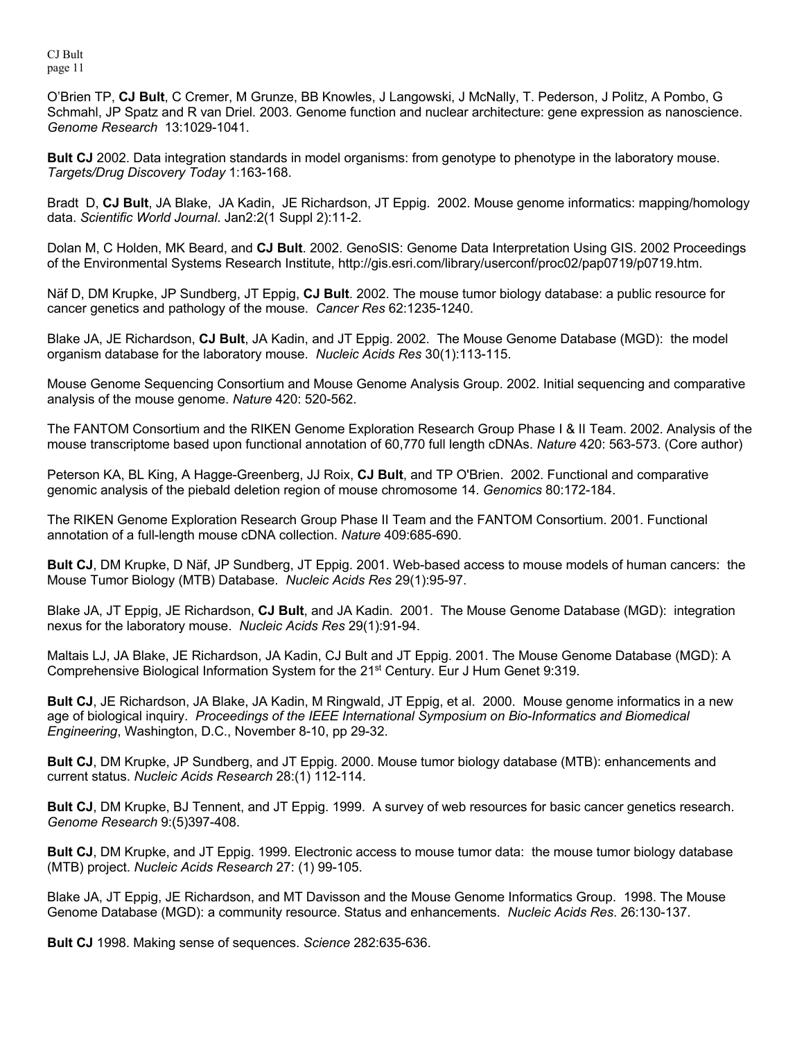O'Brien TP, **CJ Bult**, C Cremer, M Grunze, BB Knowles, J Langowski, J McNally, T. Pederson, J Politz, A Pombo, G Schmahl, JP Spatz and R van Driel. 2003. Genome function and nuclear architecture: gene expression as nanoscience. *Genome Research* 13:1029-1041.

**Bult CJ** 2002. Data integration standards in model organisms: from genotype to phenotype in the laboratory mouse. *Targets/Drug Discovery Today* 1:163-168.

Bradt D, **CJ Bult**, JA Blake, JA Kadin, JE Richardson, JT Eppig. 2002. Mouse genome informatics: mapping/homology data. *Scientific World Journal*. Jan2:2(1 Suppl 2):11-2.

Dolan M, C Holden, MK Beard, and **CJ Bult**. 2002. GenoSIS: Genome Data Interpretation Using GIS. 2002 Proceedings of the Environmental Systems Research Institute, http://gis.esri.com/library/userconf/proc02/pap0719/p0719.htm.

Näf D, DM Krupke, JP Sundberg, JT Eppig, **CJ Bult**. 2002. The mouse tumor biology database: a public resource for cancer genetics and pathology of the mouse. *Cancer Res* 62:1235-1240.

Blake JA, JE Richardson, **CJ Bult**, JA Kadin, and JT Eppig. 2002. The Mouse Genome Database (MGD): the model organism database for the laboratory mouse. *Nucleic Acids Res* 30(1):113-115.

Mouse Genome Sequencing Consortium and Mouse Genome Analysis Group. 2002. Initial sequencing and comparative analysis of the mouse genome. *Nature* 420: 520-562.

The FANTOM Consortium and the RIKEN Genome Exploration Research Group Phase I & II Team. 2002. Analysis of the mouse transcriptome based upon functional annotation of 60,770 full length cDNAs. *Nature* 420: 563-573. (Core author)

Peterson KA, BL King, A Hagge-Greenberg, JJ Roix, **CJ Bult**, and TP O'Brien. 2002. Functional and comparative genomic analysis of the piebald deletion region of mouse chromosome 14. *Genomics* 80:172-184.

The RIKEN Genome Exploration Research Group Phase II Team and the FANTOM Consortium. 2001. Functional annotation of a full-length mouse cDNA collection. *Nature* 409:685-690.

**Bult CJ**, DM Krupke, D Näf, JP Sundberg, JT Eppig. 2001. Web-based access to mouse models of human cancers: the Mouse Tumor Biology (MTB) Database. *Nucleic Acids Res* 29(1):95-97.

Blake JA, JT Eppig, JE Richardson, **CJ Bult**, and JA Kadin. 2001. The Mouse Genome Database (MGD): integration nexus for the laboratory mouse. *Nucleic Acids Res* 29(1):91-94.

Maltais LJ, JA Blake, JE Richardson, JA Kadin, CJ Bult and JT Eppig. 2001. The Mouse Genome Database (MGD): A Comprehensive Biological Information System for the 21<sup>st</sup> Century. Eur J Hum Genet 9:319.

**Bult CJ**, JE Richardson, JA Blake, JA Kadin, M Ringwald, JT Eppig, et al. 2000. Mouse genome informatics in a new age of biological inquiry. *Proceedings of the IEEE International Symposium on Bio-Informatics and Biomedical Engineering*, Washington, D.C., November 8-10, pp 29-32.

**Bult CJ**, DM Krupke, JP Sundberg, and JT Eppig. 2000. Mouse tumor biology database (MTB): enhancements and current status. *Nucleic Acids Research* 28:(1) 112-114.

**Bult CJ**, DM Krupke, BJ Tennent, and JT Eppig. 1999. A survey of web resources for basic cancer genetics research. *Genome Research* 9:(5)397-408.

**Bult CJ**, DM Krupke, and JT Eppig. 1999. Electronic access to mouse tumor data: the mouse tumor biology database (MTB) project. *Nucleic Acids Research* 27: (1) 99-105.

Blake JA, JT Eppig, JE Richardson, and MT Davisson and the Mouse Genome Informatics Group. 1998. The Mouse Genome Database (MGD): a community resource. Status and enhancements. *Nucleic Acids Res*. 26:130-137.

**Bult CJ** 1998. Making sense of sequences. *Science* 282:635-636.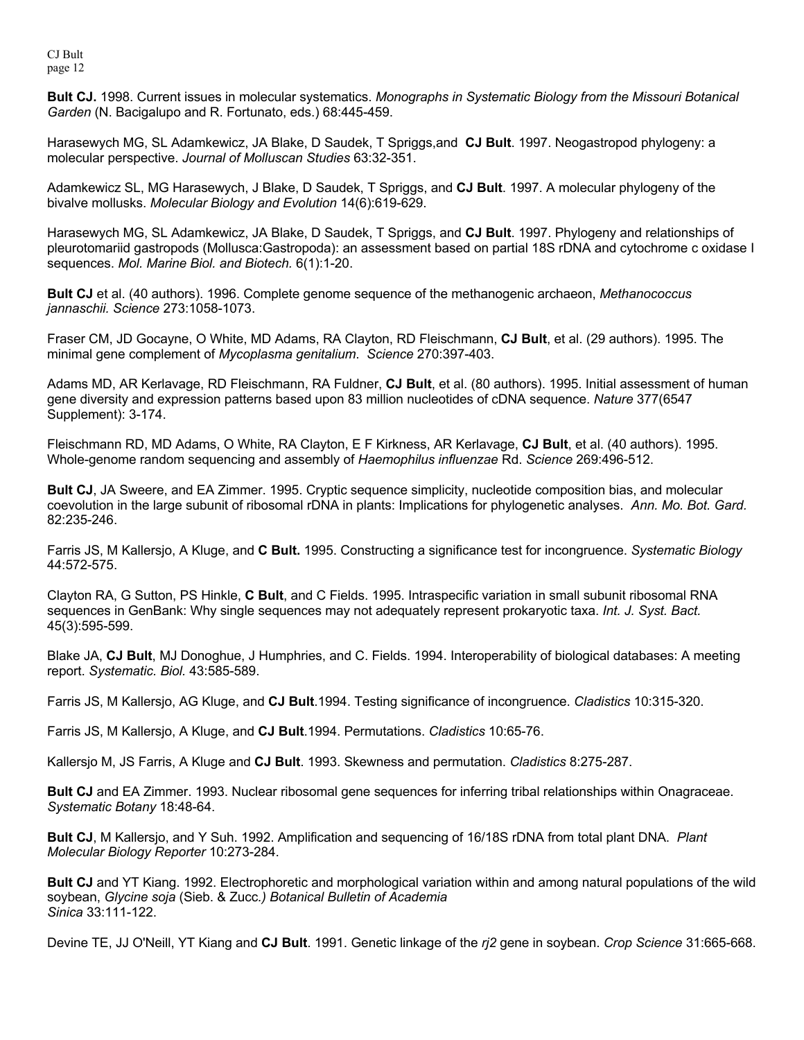**Bult CJ.** 1998. Current issues in molecular systematics. *Monographs in Systematic Biology from the Missouri Botanical Garden* (N. Bacigalupo and R. Fortunato, eds.) 68:445-459.

Harasewych MG, SL Adamkewicz, JA Blake, D Saudek, T Spriggs,and **CJ Bult**. 1997. Neogastropod phylogeny: a molecular perspective. *Journal of Molluscan Studies* 63:32-351.

Adamkewicz SL, MG Harasewych, J Blake, D Saudek, T Spriggs, and **CJ Bult**. 1997. A molecular phylogeny of the bivalve mollusks. *Molecular Biology and Evolution* 14(6):619-629.

Harasewych MG, SL Adamkewicz, JA Blake, D Saudek, T Spriggs, and **CJ Bult**. 1997. Phylogeny and relationships of pleurotomariid gastropods (Mollusca:Gastropoda): an assessment based on partial 18S rDNA and cytochrome c oxidase I sequences. *Mol. Marine Biol. and Biotech.* 6(1):1-20.

**Bult CJ** et al. (40 authors). 1996. Complete genome sequence of the methanogenic archaeon, *Methanococcus jannaschii. Science* 273:1058-1073.

Fraser CM, JD Gocayne, O White, MD Adams, RA Clayton, RD Fleischmann, **CJ Bult**, et al. (29 authors). 1995. The minimal gene complement of *Mycoplasma genitalium*. *Science* 270:397-403.

Adams MD, AR Kerlavage, RD Fleischmann, RA Fuldner, **CJ Bult**, et al. (80 authors). 1995. Initial assessment of human gene diversity and expression patterns based upon 83 million nucleotides of cDNA sequence. *Nature* 377(6547 Supplement): 3-174.

Fleischmann RD, MD Adams, O White, RA Clayton, E F Kirkness, AR Kerlavage, **CJ Bult**, et al. (40 authors). 1995. Whole-genome random sequencing and assembly of *Haemophilus influenzae* Rd. *Science* 269:496-512.

**Bult CJ**, JA Sweere, and EA Zimmer. 1995. Cryptic sequence simplicity, nucleotide composition bias, and molecular coevolution in the large subunit of ribosomal rDNA in plants: Implications for phylogenetic analyses. *Ann. Mo. Bot. Gard.* 82:235-246.

Farris JS, M Kallersjo, A Kluge, and **C Bult.** 1995. Constructing a significance test for incongruence. *Systematic Biology* 44:572-575.

Clayton RA, G Sutton, PS Hinkle, **C Bult**, and C Fields. 1995. Intraspecific variation in small subunit ribosomal RNA sequences in GenBank: Why single sequences may not adequately represent prokaryotic taxa. *Int. J. Syst. Bact.* 45(3):595-599.

Blake JA, **CJ Bult**, MJ Donoghue, J Humphries, and C. Fields. 1994. Interoperability of biological databases: A meeting report. *Systematic. Biol.* 43:585-589.

Farris JS, M Kallersjo, AG Kluge, and **CJ Bult**.1994. Testing significance of incongruence. *Cladistics* 10:315-320.

Farris JS, M Kallersjo, A Kluge, and **CJ Bult**.1994. Permutations. *Cladistics* 10:65-76.

Kallersjo M, JS Farris, A Kluge and **CJ Bult**. 1993. Skewness and permutation. *Cladistics* 8:275-287.

**Bult CJ** and EA Zimmer. 1993. Nuclear ribosomal gene sequences for inferring tribal relationships within Onagraceae. *Systematic Botany* 18:48-64.

**Bult CJ**, M Kallersjo, and Y Suh. 1992. Amplification and sequencing of 16/18S rDNA from total plant DNA. *Plant Molecular Biology Reporter* 10:273-284.

**Bult CJ** and YT Kiang. 1992. Electrophoretic and morphological variation within and among natural populations of the wild soybean, *Glycine soja* (Sieb. & Zucc*.) Botanical Bulletin of Academia Sinica* 33:111-122.

Devine TE, JJ O'Neill, YT Kiang and **CJ Bult**. 1991. Genetic linkage of the *rj2* gene in soybean. *Crop Science* 31:665-668.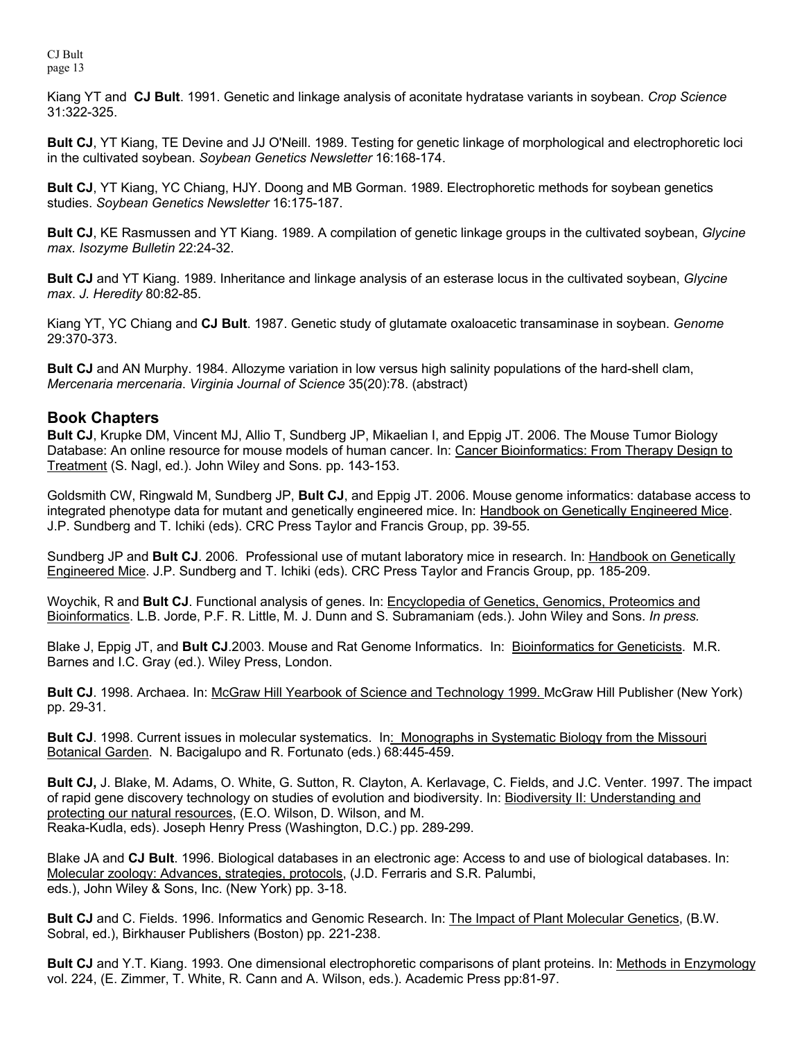Kiang YT and **CJ Bult**. 1991. Genetic and linkage analysis of aconitate hydratase variants in soybean. *Crop Science* 31:322-325.

**Bult CJ**, YT Kiang, TE Devine and JJ O'Neill. 1989. Testing for genetic linkage of morphological and electrophoretic loci in the cultivated soybean. *Soybean Genetics Newsletter* 16:168-174.

**Bult CJ**, YT Kiang, YC Chiang, HJY. Doong and MB Gorman. 1989. Electrophoretic methods for soybean genetics studies. *Soybean Genetics Newsletter* 16:175-187.

**Bult CJ**, KE Rasmussen and YT Kiang. 1989. A compilation of genetic linkage groups in the cultivated soybean, *Glycine max. Isozyme Bulletin* 22:24-32.

**Bult CJ** and YT Kiang. 1989. Inheritance and linkage analysis of an esterase locus in the cultivated soybean, *Glycine max*. *J. Heredity* 80:82-85.

Kiang YT, YC Chiang and **CJ Bult**. 1987. Genetic study of glutamate oxaloacetic transaminase in soybean. *Genome* 29:370-373.

**Bult CJ** and AN Murphy. 1984. Allozyme variation in low versus high salinity populations of the hard-shell clam, *Mercenaria mercenaria*. *Virginia Journal of Science* 35(20):78. (abstract)

### **Book Chapters**

**Bult CJ**, Krupke DM, Vincent MJ, Allio T, Sundberg JP, Mikaelian I, and Eppig JT. 2006. The Mouse Tumor Biology Database: An online resource for mouse models of human cancer. In: Cancer Bioinformatics: From Therapy Design to Treatment (S. Nagl, ed.). John Wiley and Sons. pp. 143-153.

Goldsmith CW, Ringwald M, Sundberg JP, **Bult CJ**, and Eppig JT. 2006. Mouse genome informatics: database access to integrated phenotype data for mutant and genetically engineered mice. In: Handbook on Genetically Engineered Mice. J.P. Sundberg and T. Ichiki (eds). CRC Press Taylor and Francis Group, pp. 39-55*.*

Sundberg JP and **Bult CJ**. 2006. Professional use of mutant laboratory mice in research. In: Handbook on Genetically Engineered Mice. J.P. Sundberg and T. Ichiki (eds). CRC Press Taylor and Francis Group, pp. 185-209.

Woychik, R and **Bult CJ**. Functional analysis of genes. In: Encyclopedia of Genetics, Genomics, Proteomics and Bioinformatics. L.B. Jorde, P.F. R. Little, M. J. Dunn and S. Subramaniam (eds.). John Wiley and Sons. *In press.*

Blake J, Eppig JT, and **Bult CJ**.2003. Mouse and Rat Genome Informatics. In: Bioinformatics for Geneticists. M.R. Barnes and I.C. Gray (ed.). Wiley Press, London.

**Bult CJ**. 1998. Archaea. In: McGraw Hill Yearbook of Science and Technology 1999. McGraw Hill Publisher (New York) pp. 29-31.

**Bult CJ**. 1998. Current issues in molecular systematics. In: Monographs in Systematic Biology from the Missouri Botanical Garden. N. Bacigalupo and R. Fortunato (eds.) 68:445-459.

**Bult CJ,** J. Blake, M. Adams, O. White, G. Sutton, R. Clayton, A. Kerlavage, C. Fields, and J.C. Venter. 1997. The impact of rapid gene discovery technology on studies of evolution and biodiversity. In: Biodiversity II: Understanding and protecting our natural resources, (E.O. Wilson, D. Wilson, and M. Reaka-Kudla, eds). Joseph Henry Press (Washington, D.C.) pp. 289-299.

Blake JA and **CJ Bult**. 1996. Biological databases in an electronic age: Access to and use of biological databases. In: Molecular zoology: Advances, strategies, protocols, (J.D. Ferraris and S.R. Palumbi, eds.), John Wiley & Sons, Inc. (New York) pp. 3-18.

**Bult CJ** and C. Fields. 1996. Informatics and Genomic Research. In: The Impact of Plant Molecular Genetics, (B.W. Sobral, ed.), Birkhauser Publishers (Boston) pp. 221-238.

**Bult CJ** and Y.T. Kiang. 1993. One dimensional electrophoretic comparisons of plant proteins. In: Methods in Enzymology vol. 224, (E. Zimmer, T. White, R. Cann and A. Wilson, eds.). Academic Press pp:81-97.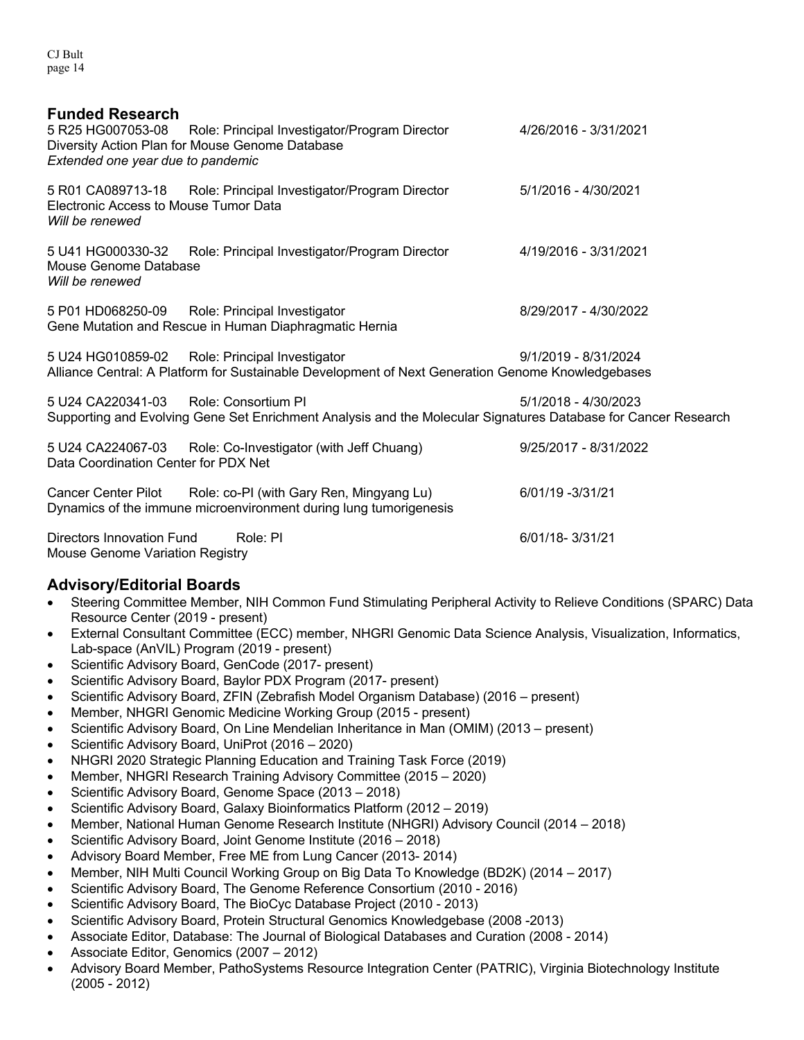| <b>Funded Research</b><br>5 R25 HG007053-08<br>Extended one year due to pandemic | Role: Principal Investigator/Program Director<br>Diversity Action Plan for Mouse Genome Database                                                    | 4/26/2016 - 3/31/2021 |
|----------------------------------------------------------------------------------|-----------------------------------------------------------------------------------------------------------------------------------------------------|-----------------------|
| Electronic Access to Mouse Tumor Data<br>Will be renewed                         | 5 R01 CA089713-18 Role: Principal Investigator/Program Director                                                                                     | 5/1/2016 - 4/30/2021  |
| 5 U41 HG000330-32<br>Mouse Genome Database<br>Will be renewed                    | Role: Principal Investigator/Program Director                                                                                                       | 4/19/2016 - 3/31/2021 |
|                                                                                  | 5 P01 HD068250-09 Role: Principal Investigator<br>Gene Mutation and Rescue in Human Diaphragmatic Hernia                                            | 8/29/2017 - 4/30/2022 |
|                                                                                  | 5 U24 HG010859-02 Role: Principal Investigator<br>Alliance Central: A Platform for Sustainable Development of Next Generation Genome Knowledgebases | 9/1/2019 - 8/31/2024  |
| 5 U24 CA220341-03 Role: Consortium PI                                            | Supporting and Evolving Gene Set Enrichment Analysis and the Molecular Signatures Database for Cancer Research                                      | 5/1/2018 - 4/30/2023  |
| Data Coordination Center for PDX Net                                             | 5 U24 CA224067-03 Role: Co-Investigator (with Jeff Chuang)                                                                                          | 9/25/2017 - 8/31/2022 |
|                                                                                  | Cancer Center Pilot Role: co-PI (with Gary Ren, Mingyang Lu)<br>Dynamics of the immune microenvironment during lung tumorigenesis                   | 6/01/19 -3/31/21      |
| <b>Directors Innovation Fund</b><br><b>Mouse Genome Variation Registry</b>       | Role: PI                                                                                                                                            | 6/01/18-3/31/21       |

## **Advisory/Editorial Boards**

- Steering Committee Member, NIH Common Fund Stimulating Peripheral Activity to Relieve Conditions (SPARC) Data Resource Center (2019 - present)
- External Consultant Committee (ECC) member, NHGRI Genomic Data Science Analysis, Visualization, Informatics, Lab-space (AnVIL) Program (2019 - present)
- Scientific Advisory Board, GenCode (2017- present)
- Scientific Advisory Board, Baylor PDX Program (2017- present)
- Scientific Advisory Board, ZFIN (Zebrafish Model Organism Database) (2016 present)
- Member, NHGRI Genomic Medicine Working Group (2015 present)
- Scientific Advisory Board, On Line Mendelian Inheritance in Man (OMIM) (2013 present)
- Scientific Advisory Board, UniProt (2016 2020)
- NHGRI 2020 Strategic Planning Education and Training Task Force (2019)
- Member, NHGRI Research Training Advisory Committee (2015 2020)
- Scientific Advisory Board, Genome Space (2013 2018)
- Scientific Advisory Board, Galaxy Bioinformatics Platform (2012 2019)
- Member, National Human Genome Research Institute (NHGRI) Advisory Council (2014 2018)
- Scientific Advisory Board, Joint Genome Institute (2016 2018)
- Advisory Board Member, Free ME from Lung Cancer (2013- 2014)
- Member, NIH Multi Council Working Group on Big Data To Knowledge (BD2K) (2014 2017)
- Scientific Advisory Board, The Genome Reference Consortium (2010 2016)
- Scientific Advisory Board, The BioCyc Database Project (2010 2013)
- Scientific Advisory Board, Protein Structural Genomics Knowledgebase (2008 -2013)
- Associate Editor, Database: The Journal of Biological Databases and Curation (2008 2014)
- Associate Editor, Genomics (2007 2012)
- Advisory Board Member, PathoSystems Resource Integration Center (PATRIC), Virginia Biotechnology Institute (2005 - 2012)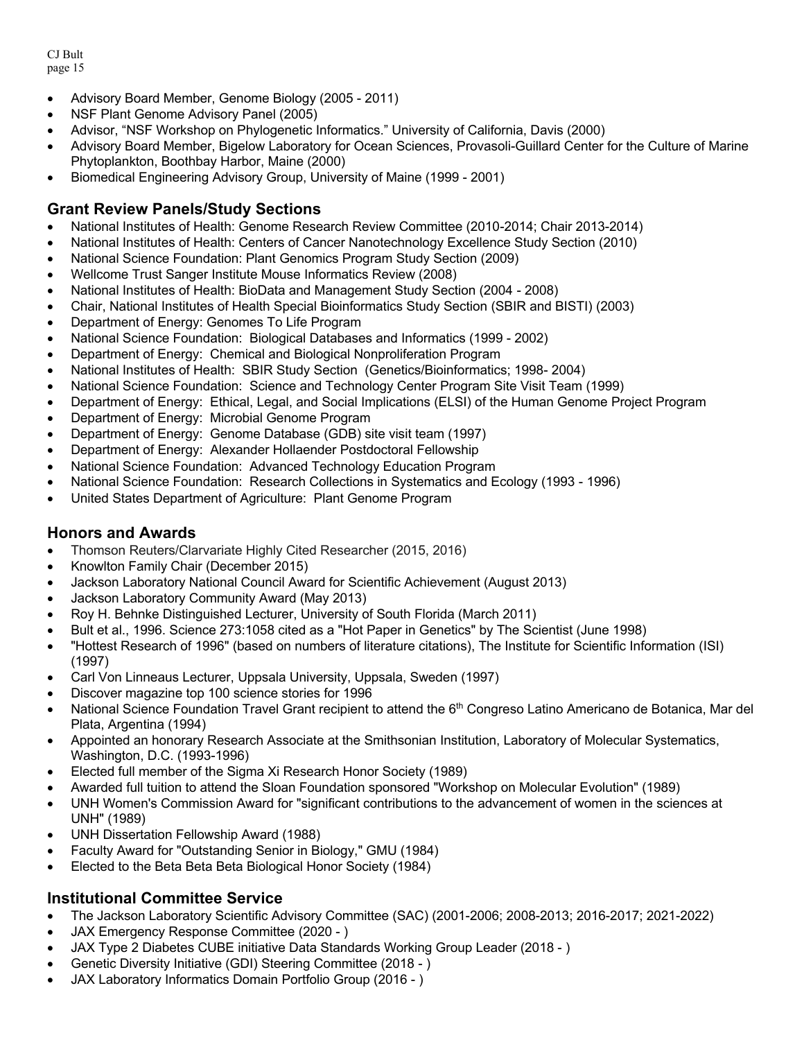- Advisory Board Member, Genome Biology (2005 2011)
- NSF Plant Genome Advisory Panel (2005)
- Advisor, "NSF Workshop on Phylogenetic Informatics." University of California, Davis (2000)
- Advisory Board Member, Bigelow Laboratory for Ocean Sciences, Provasoli-Guillard Center for the Culture of Marine Phytoplankton, Boothbay Harbor, Maine (2000)
- Biomedical Engineering Advisory Group, University of Maine (1999 2001)

## **Grant Review Panels/Study Sections**

- National Institutes of Health: Genome Research Review Committee (2010-2014; Chair 2013-2014)
- National Institutes of Health: Centers of Cancer Nanotechnology Excellence Study Section (2010)
- National Science Foundation: Plant Genomics Program Study Section (2009)
- Wellcome Trust Sanger Institute Mouse Informatics Review (2008)
- National Institutes of Health: BioData and Management Study Section (2004 2008)
- Chair, National Institutes of Health Special Bioinformatics Study Section (SBIR and BISTI) (2003)
- Department of Energy: Genomes To Life Program
- National Science Foundation: Biological Databases and Informatics (1999 2002)
- Department of Energy: Chemical and Biological Nonproliferation Program
- National Institutes of Health: SBIR Study Section (Genetics/Bioinformatics; 1998- 2004)
- National Science Foundation: Science and Technology Center Program Site Visit Team (1999)
- Department of Energy: Ethical, Legal, and Social Implications (ELSI) of the Human Genome Project Program
- Department of Energy: Microbial Genome Program
- Department of Energy: Genome Database (GDB) site visit team (1997)
- Department of Energy: Alexander Hollaender Postdoctoral Fellowship
- National Science Foundation: Advanced Technology Education Program
- National Science Foundation: Research Collections in Systematics and Ecology (1993 1996)
- United States Department of Agriculture: Plant Genome Program

### **Honors and Awards**

- Thomson Reuters/Clarvariate Highly Cited Researcher (2015, 2016)
- Knowlton Family Chair (December 2015)
- Jackson Laboratory National Council Award for Scientific Achievement (August 2013)
- Jackson Laboratory Community Award (May 2013)
- Roy H. Behnke Distinguished Lecturer, University of South Florida (March 2011)
- Bult et al., 1996. Science 273:1058 cited as a "Hot Paper in Genetics" by The Scientist (June 1998)
- "Hottest Research of 1996" (based on numbers of literature citations), The Institute for Scientific Information (ISI) (1997)
- Carl Von Linneaus Lecturer, Uppsala University, Uppsala, Sweden (1997)
- Discover magazine top 100 science stories for 1996
- National Science Foundation Travel Grant recipient to attend the 6<sup>th</sup> Congreso Latino Americano de Botanica, Mar del Plata, Argentina (1994)
- Appointed an honorary Research Associate at the Smithsonian Institution, Laboratory of Molecular Systematics, Washington, D.C. (1993-1996)
- Elected full member of the Sigma Xi Research Honor Society (1989)
- Awarded full tuition to attend the Sloan Foundation sponsored "Workshop on Molecular Evolution" (1989)
- UNH Women's Commission Award for "significant contributions to the advancement of women in the sciences at UNH" (1989)
- UNH Dissertation Fellowship Award (1988)
- Faculty Award for "Outstanding Senior in Biology," GMU (1984)
- Elected to the Beta Beta Beta Biological Honor Society (1984)

### **Institutional Committee Service**

- The Jackson Laboratory Scientific Advisory Committee (SAC) (2001-2006; 2008-2013; 2016-2017; 2021-2022)
- JAX Emergency Response Committee (2020 )
- JAX Type 2 Diabetes CUBE initiative Data Standards Working Group Leader (2018 )
- Genetic Diversity Initiative (GDI) Steering Committee (2018 )
- JAX Laboratory Informatics Domain Portfolio Group (2016 )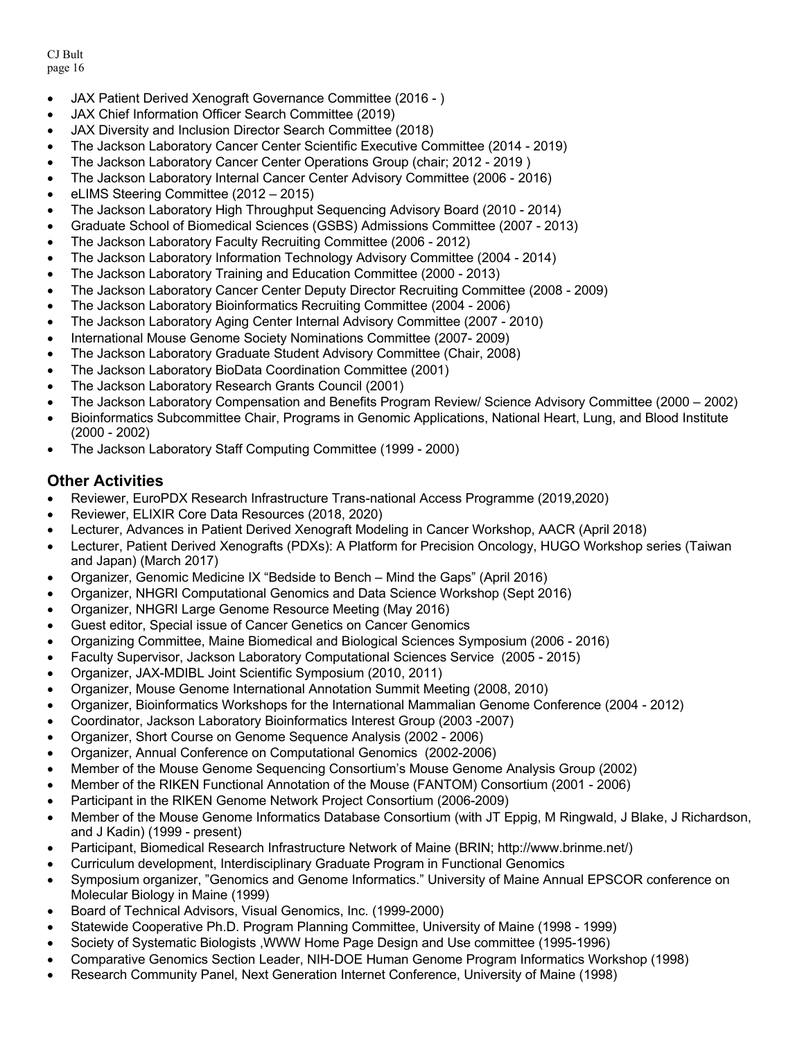- JAX Patient Derived Xenograft Governance Committee (2016 )
- JAX Chief Information Officer Search Committee (2019)
- JAX Diversity and Inclusion Director Search Committee (2018)
- The Jackson Laboratory Cancer Center Scientific Executive Committee (2014 2019)
- The Jackson Laboratory Cancer Center Operations Group (chair; 2012 2019 )
- The Jackson Laboratory Internal Cancer Center Advisory Committee (2006 2016)
- eLIMS Steering Committee (2012 2015)
- The Jackson Laboratory High Throughput Sequencing Advisory Board (2010 2014)
- Graduate School of Biomedical Sciences (GSBS) Admissions Committee (2007 2013)
- The Jackson Laboratory Faculty Recruiting Committee (2006 2012)
- The Jackson Laboratory Information Technology Advisory Committee (2004 2014)
- The Jackson Laboratory Training and Education Committee (2000 2013)
- The Jackson Laboratory Cancer Center Deputy Director Recruiting Committee (2008 2009)
- The Jackson Laboratory Bioinformatics Recruiting Committee (2004 2006)
- The Jackson Laboratory Aging Center Internal Advisory Committee (2007 2010)
- International Mouse Genome Society Nominations Committee (2007- 2009)
- The Jackson Laboratory Graduate Student Advisory Committee (Chair, 2008)
- The Jackson Laboratory BioData Coordination Committee (2001)
- The Jackson Laboratory Research Grants Council (2001)
- The Jackson Laboratory Compensation and Benefits Program Review/ Science Advisory Committee (2000 2002)
- Bioinformatics Subcommittee Chair, Programs in Genomic Applications, National Heart, Lung, and Blood Institute (2000 - 2002)
- The Jackson Laboratory Staff Computing Committee (1999 2000)

#### **Other Activities**

- Reviewer, EuroPDX Research Infrastructure Trans-national Access Programme (2019,2020)
- Reviewer, ELIXIR Core Data Resources (2018, 2020)
- Lecturer, Advances in Patient Derived Xenograft Modeling in Cancer Workshop, AACR (April 2018)
- Lecturer, Patient Derived Xenografts (PDXs): A Platform for Precision Oncology, HUGO Workshop series (Taiwan and Japan) (March 2017)
- Organizer, Genomic Medicine IX "Bedside to Bench Mind the Gaps" (April 2016)
- Organizer, NHGRI Computational Genomics and Data Science Workshop (Sept 2016)
- Organizer, NHGRI Large Genome Resource Meeting (May 2016)
- Guest editor, Special issue of Cancer Genetics on Cancer Genomics
- Organizing Committee, Maine Biomedical and Biological Sciences Symposium (2006 2016)
- Faculty Supervisor, Jackson Laboratory Computational Sciences Service (2005 2015)
- Organizer, JAX-MDIBL Joint Scientific Symposium (2010, 2011)
- Organizer, Mouse Genome International Annotation Summit Meeting (2008, 2010)
- Organizer, Bioinformatics Workshops for the International Mammalian Genome Conference (2004 2012)
- Coordinator, Jackson Laboratory Bioinformatics Interest Group (2003 -2007)
- Organizer, Short Course on Genome Sequence Analysis (2002 2006)
- Organizer, Annual Conference on Computational Genomics (2002-2006)
- Member of the Mouse Genome Sequencing Consortium's Mouse Genome Analysis Group (2002)
- Member of the RIKEN Functional Annotation of the Mouse (FANTOM) Consortium (2001 2006)
- Participant in the RIKEN Genome Network Project Consortium (2006-2009)
- Member of the Mouse Genome Informatics Database Consortium (with JT Eppig, M Ringwald, J Blake, J Richardson, and J Kadin) (1999 - present)
- Participant, Biomedical Research Infrastructure Network of Maine (BRIN; http://www.brinme.net/)
- Curriculum development, Interdisciplinary Graduate Program in Functional Genomics
- Symposium organizer, "Genomics and Genome Informatics." University of Maine Annual EPSCOR conference on Molecular Biology in Maine (1999)
- Board of Technical Advisors, Visual Genomics, Inc. (1999-2000)
- Statewide Cooperative Ph.D. Program Planning Committee, University of Maine (1998 1999)
- Society of Systematic Biologists ,WWW Home Page Design and Use committee (1995-1996)
- Comparative Genomics Section Leader, NIH-DOE Human Genome Program Informatics Workshop (1998)
- Research Community Panel, Next Generation Internet Conference, University of Maine (1998)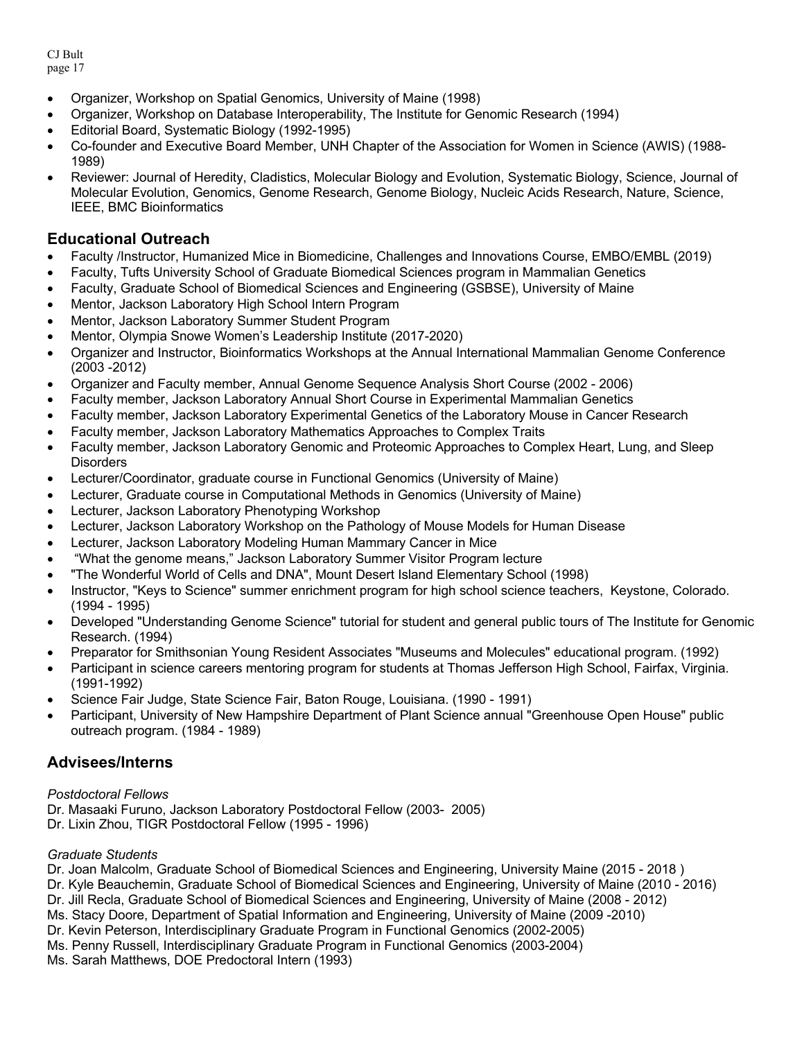- Organizer, Workshop on Spatial Genomics, University of Maine (1998)
- Organizer, Workshop on Database Interoperability, The Institute for Genomic Research (1994)
- Editorial Board, Systematic Biology (1992-1995)
- Co-founder and Executive Board Member, UNH Chapter of the Association for Women in Science (AWIS) (1988- 1989)
- Reviewer: Journal of Heredity, Cladistics, Molecular Biology and Evolution, Systematic Biology, Science, Journal of Molecular Evolution, Genomics, Genome Research, Genome Biology, Nucleic Acids Research, Nature, Science, IEEE, BMC Bioinformatics

### **Educational Outreach**

- Faculty /Instructor, Humanized Mice in Biomedicine, Challenges and Innovations Course, EMBO/EMBL (2019)
- Faculty, Tufts University School of Graduate Biomedical Sciences program in Mammalian Genetics
- Faculty, Graduate School of Biomedical Sciences and Engineering (GSBSE), University of Maine
- Mentor, Jackson Laboratory High School Intern Program
- Mentor, Jackson Laboratory Summer Student Program
- Mentor, Olympia Snowe Women's Leadership Institute (2017-2020)
- Organizer and Instructor, Bioinformatics Workshops at the Annual International Mammalian Genome Conference (2003 -2012)
- Organizer and Faculty member, Annual Genome Sequence Analysis Short Course (2002 2006)
- Faculty member, Jackson Laboratory Annual Short Course in Experimental Mammalian Genetics
- Faculty member, Jackson Laboratory Experimental Genetics of the Laboratory Mouse in Cancer Research
- Faculty member, Jackson Laboratory Mathematics Approaches to Complex Traits
- Faculty member, Jackson Laboratory Genomic and Proteomic Approaches to Complex Heart, Lung, and Sleep **Disorders**
- Lecturer/Coordinator, graduate course in Functional Genomics (University of Maine)
- Lecturer, Graduate course in Computational Methods in Genomics (University of Maine)
- Lecturer, Jackson Laboratory Phenotyping Workshop
- Lecturer, Jackson Laboratory Workshop on the Pathology of Mouse Models for Human Disease
- Lecturer, Jackson Laboratory Modeling Human Mammary Cancer in Mice
- "What the genome means," Jackson Laboratory Summer Visitor Program lecture
- "The Wonderful World of Cells and DNA", Mount Desert Island Elementary School (1998)
- Instructor, "Keys to Science" summer enrichment program for high school science teachers, Keystone, Colorado. (1994 - 1995)
- Developed "Understanding Genome Science" tutorial for student and general public tours of The Institute for Genomic Research. (1994)
- Preparator for Smithsonian Young Resident Associates "Museums and Molecules" educational program. (1992)
- Participant in science careers mentoring program for students at Thomas Jefferson High School, Fairfax, Virginia. (1991-1992)
- Science Fair Judge, State Science Fair, Baton Rouge, Louisiana. (1990 1991)
- Participant, University of New Hampshire Department of Plant Science annual "Greenhouse Open House" public outreach program. (1984 - 1989)

## **Advisees/Interns**

#### *Postdoctoral Fellows*

Dr. Masaaki Furuno, Jackson Laboratory Postdoctoral Fellow (2003- 2005) Dr. Lixin Zhou, TIGR Postdoctoral Fellow (1995 - 1996)

#### *Graduate Students*

Dr. Joan Malcolm, Graduate School of Biomedical Sciences and Engineering, University Maine (2015 - 2018 ) Dr. Kyle Beauchemin, Graduate School of Biomedical Sciences and Engineering, University of Maine (2010 - 2016) Dr. Jill Recla, Graduate School of Biomedical Sciences and Engineering, University of Maine (2008 - 2012) Ms. Stacy Doore, Department of Spatial Information and Engineering, University of Maine (2009 -2010) Dr. Kevin Peterson, Interdisciplinary Graduate Program in Functional Genomics (2002-2005) Ms. Penny Russell, Interdisciplinary Graduate Program in Functional Genomics (2003-2004) Ms. Sarah Matthews, DOE Predoctoral Intern (1993)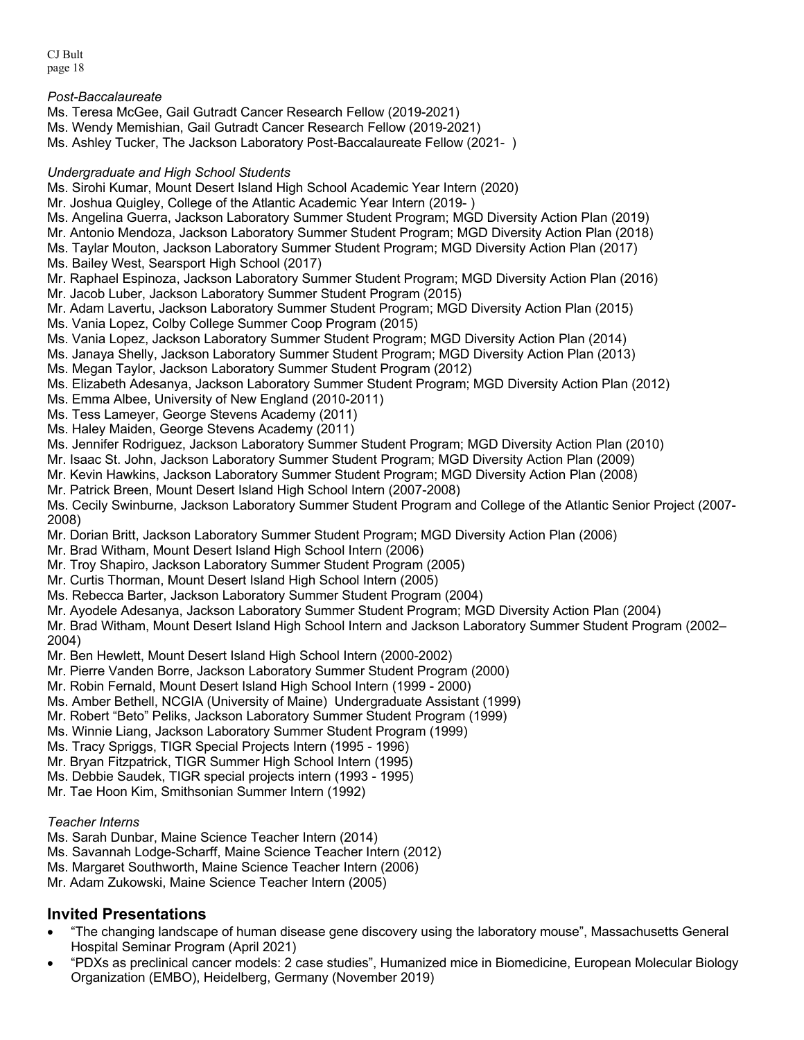*Post-Baccalaureate*

Ms. Teresa McGee, Gail Gutradt Cancer Research Fellow (2019-2021)

Ms. Wendy Memishian, Gail Gutradt Cancer Research Fellow (2019-2021)

Ms. Ashley Tucker, The Jackson Laboratory Post-Baccalaureate Fellow (2021- )

*Undergraduate and High School Students*

Ms. Sirohi Kumar, Mount Desert Island High School Academic Year Intern (2020)

Mr. Joshua Quigley, College of the Atlantic Academic Year Intern (2019- )

Ms. Angelina Guerra, Jackson Laboratory Summer Student Program; MGD Diversity Action Plan (2019)

Mr. Antonio Mendoza, Jackson Laboratory Summer Student Program; MGD Diversity Action Plan (2018)

Ms. Taylar Mouton, Jackson Laboratory Summer Student Program; MGD Diversity Action Plan (2017) Ms. Bailey West, Searsport High School (2017)

Mr. Raphael Espinoza, Jackson Laboratory Summer Student Program; MGD Diversity Action Plan (2016)

Mr. Jacob Luber, Jackson Laboratory Summer Student Program (2015)

Mr. Adam Lavertu, Jackson Laboratory Summer Student Program; MGD Diversity Action Plan (2015) Ms. Vania Lopez, Colby College Summer Coop Program (2015)

Ms. Vania Lopez, Jackson Laboratory Summer Student Program; MGD Diversity Action Plan (2014)

Ms. Janaya Shelly, Jackson Laboratory Summer Student Program; MGD Diversity Action Plan (2013)

Ms. Megan Taylor, Jackson Laboratory Summer Student Program (2012)

Ms. Elizabeth Adesanya, Jackson Laboratory Summer Student Program; MGD Diversity Action Plan (2012)

Ms. Emma Albee, University of New England (2010-2011)

Ms. Tess Lameyer, George Stevens Academy (2011)

Ms. Haley Maiden, George Stevens Academy (2011)

Ms. Jennifer Rodriguez, Jackson Laboratory Summer Student Program; MGD Diversity Action Plan (2010)

Mr. Isaac St. John, Jackson Laboratory Summer Student Program; MGD Diversity Action Plan (2009)

Mr. Kevin Hawkins, Jackson Laboratory Summer Student Program; MGD Diversity Action Plan (2008)

Mr. Patrick Breen, Mount Desert Island High School Intern (2007-2008)

Ms. Cecily Swinburne, Jackson Laboratory Summer Student Program and College of the Atlantic Senior Project (2007- 2008)

Mr. Dorian Britt, Jackson Laboratory Summer Student Program; MGD Diversity Action Plan (2006)

Mr. Brad Witham, Mount Desert Island High School Intern (2006)

Mr. Troy Shapiro, Jackson Laboratory Summer Student Program (2005)

Mr. Curtis Thorman, Mount Desert Island High School Intern (2005)

Ms. Rebecca Barter, Jackson Laboratory Summer Student Program (2004)

Mr. Ayodele Adesanya, Jackson Laboratory Summer Student Program; MGD Diversity Action Plan (2004)

Mr. Brad Witham, Mount Desert Island High School Intern and Jackson Laboratory Summer Student Program (2002– 2004)

Mr. Ben Hewlett, Mount Desert Island High School Intern (2000-2002)

Mr. Pierre Vanden Borre, Jackson Laboratory Summer Student Program (2000)

Mr. Robin Fernald, Mount Desert Island High School Intern (1999 - 2000)

Ms. Amber Bethell, NCGIA (University of Maine) Undergraduate Assistant (1999)

Mr. Robert "Beto" Peliks, Jackson Laboratory Summer Student Program (1999)

Ms. Winnie Liang, Jackson Laboratory Summer Student Program (1999)

Ms. Tracy Spriggs, TIGR Special Projects Intern (1995 - 1996)

Mr. Bryan Fitzpatrick, TIGR Summer High School Intern (1995)

Ms. Debbie Saudek, TIGR special projects intern (1993 - 1995)

Mr. Tae Hoon Kim, Smithsonian Summer Intern (1992)

#### *Teacher Interns*

Ms. Sarah Dunbar, Maine Science Teacher Intern (2014)

Ms. Savannah Lodge-Scharff, Maine Science Teacher Intern (2012)

Ms. Margaret Southworth, Maine Science Teacher Intern (2006)

Mr. Adam Zukowski, Maine Science Teacher Intern (2005)

### **Invited Presentations**

- "The changing landscape of human disease gene discovery using the laboratory mouse", Massachusetts General Hospital Seminar Program (April 2021)
- "PDXs as preclinical cancer models: 2 case studies", Humanized mice in Biomedicine, European Molecular Biology Organization (EMBO), Heidelberg, Germany (November 2019)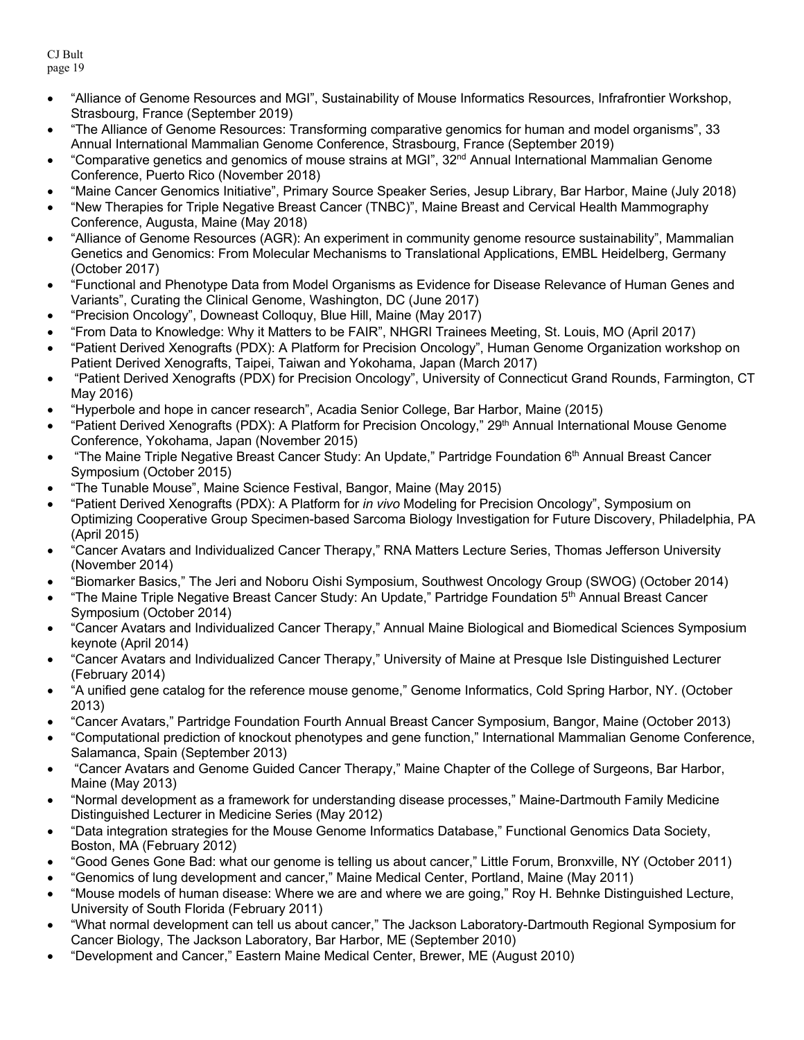- "Alliance of Genome Resources and MGI", Sustainability of Mouse Informatics Resources, Infrafrontier Workshop, Strasbourg, France (September 2019)
- "The Alliance of Genome Resources: Transforming comparative genomics for human and model organisms", 33 Annual International Mammalian Genome Conference, Strasbourg, France (September 2019)
- "Comparative genetics and genomics of mouse strains at MGI", 32<sup>nd</sup> Annual International Mammalian Genome Conference, Puerto Rico (November 2018)
- "Maine Cancer Genomics Initiative", Primary Source Speaker Series, Jesup Library, Bar Harbor, Maine (July 2018)
- "New Therapies for Triple Negative Breast Cancer (TNBC)", Maine Breast and Cervical Health Mammography Conference, Augusta, Maine (May 2018)
- "Alliance of Genome Resources (AGR): An experiment in community genome resource sustainability", Mammalian Genetics and Genomics: From Molecular Mechanisms to Translational Applications, EMBL Heidelberg, Germany (October 2017)
- "Functional and Phenotype Data from Model Organisms as Evidence for Disease Relevance of Human Genes and Variants", Curating the Clinical Genome, Washington, DC (June 2017)
- "Precision Oncology", Downeast Colloquy, Blue Hill, Maine (May 2017)
- "From Data to Knowledge: Why it Matters to be FAIR", NHGRI Trainees Meeting, St. Louis, MO (April 2017)
- "Patient Derived Xenografts (PDX): A Platform for Precision Oncology", Human Genome Organization workshop on Patient Derived Xenografts, Taipei, Taiwan and Yokohama, Japan (March 2017)
- "Patient Derived Xenografts (PDX) for Precision Oncology", University of Connecticut Grand Rounds, Farmington, CT May 2016)
- "Hyperbole and hope in cancer research", Acadia Senior College, Bar Harbor, Maine (2015)
- "Patient Derived Xenografts (PDX): A Platform for Precision Oncology," 29th Annual International Mouse Genome Conference, Yokohama, Japan (November 2015)
- "The Maine Triple Negative Breast Cancer Study: An Update," Partridge Foundation 6th Annual Breast Cancer Symposium (October 2015)
- "The Tunable Mouse", Maine Science Festival, Bangor, Maine (May 2015)
- "Patient Derived Xenografts (PDX): A Platform for *in vivo* Modeling for Precision Oncology", Symposium on Optimizing Cooperative Group Specimen-based Sarcoma Biology Investigation for Future Discovery, Philadelphia, PA (April 2015)
- "Cancer Avatars and Individualized Cancer Therapy," RNA Matters Lecture Series, Thomas Jefferson University (November 2014)
- "Biomarker Basics," The Jeri and Noboru Oishi Symposium, Southwest Oncology Group (SWOG) (October 2014)
- "The Maine Triple Negative Breast Cancer Study: An Update," Partridge Foundation 5th Annual Breast Cancer Symposium (October 2014)
- "Cancer Avatars and Individualized Cancer Therapy," Annual Maine Biological and Biomedical Sciences Symposium keynote (April 2014)
- "Cancer Avatars and Individualized Cancer Therapy," University of Maine at Presque Isle Distinguished Lecturer (February 2014)
- "A unified gene catalog for the reference mouse genome," Genome Informatics, Cold Spring Harbor, NY. (October 2013)
- "Cancer Avatars," Partridge Foundation Fourth Annual Breast Cancer Symposium, Bangor, Maine (October 2013)
- "Computational prediction of knockout phenotypes and gene function," International Mammalian Genome Conference, Salamanca, Spain (September 2013)
- "Cancer Avatars and Genome Guided Cancer Therapy," Maine Chapter of the College of Surgeons, Bar Harbor, Maine (May 2013)
- "Normal development as a framework for understanding disease processes," Maine-Dartmouth Family Medicine Distinguished Lecturer in Medicine Series (May 2012)
- "Data integration strategies for the Mouse Genome Informatics Database," Functional Genomics Data Society, Boston, MA (February 2012)
- "Good Genes Gone Bad: what our genome is telling us about cancer," Little Forum, Bronxville, NY (October 2011)
- "Genomics of lung development and cancer," Maine Medical Center, Portland, Maine (May 2011)
- "Mouse models of human disease: Where we are and where we are going," Roy H. Behnke Distinguished Lecture, University of South Florida (February 2011)
- "What normal development can tell us about cancer," The Jackson Laboratory-Dartmouth Regional Symposium for Cancer Biology, The Jackson Laboratory, Bar Harbor, ME (September 2010)
- "Development and Cancer," Eastern Maine Medical Center, Brewer, ME (August 2010)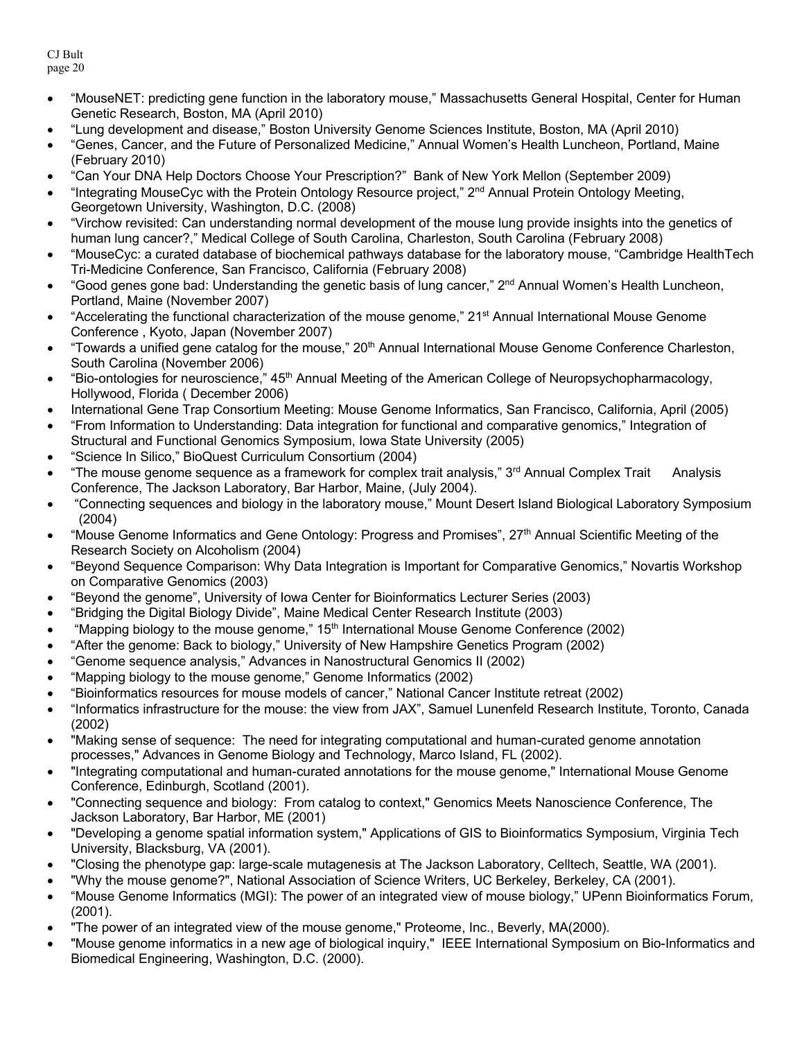- "MouseNET: predicting gene function in the laboratory mouse," Massachusetts General Hospital, Center for Human Genetic Research, Boston, MA (April 2010)
- "Lung development and disease," Boston University Genome Sciences Institute, Boston, MA (April 2010)
- "Genes, Cancer, and the Future of Personalized Medicine," Annual Women's Health Luncheon, Portland, Maine (February 2010)
- "Can Your DNA Help Doctors Choose Your Prescription?" Bank of New York Mellon (September 2009)
- "Integrating MouseCyc with the Protein Ontology Resource project,"  $2<sup>nd</sup>$  Annual Protein Ontology Meeting, Georgetown University, Washington, D.C. (2008)
- "Virchow revisited: Can understanding normal development of the mouse lung provide insights into the genetics of human lung cancer?," Medical College of South Carolina, Charleston, South Carolina (February 2008)
- "MouseCyc: a curated database of biochemical pathways database for the laboratory mouse, "Cambridge HealthTech Tri-Medicine Conference, San Francisco, California (February 2008)
- "Good genes gone bad: Understanding the genetic basis of lung cancer," 2<sup>nd</sup> Annual Women's Health Luncheon, Portland, Maine (November 2007)
- "Accelerating the functional characterization of the mouse genome," 21st Annual International Mouse Genome Conference , Kyoto, Japan (November 2007)
- "Towards a unified gene catalog for the mouse," 20<sup>th</sup> Annual International Mouse Genome Conference Charleston, South Carolina (November 2006)
- "Bio-ontologies for neuroscience," 45<sup>th</sup> Annual Meeting of the American College of Neuropsychopharmacology, Hollywood, Florida ( December 2006)
- International Gene Trap Consortium Meeting: Mouse Genome Informatics, San Francisco, California, April (2005)
- "From Information to Understanding: Data integration for functional and comparative genomics," Integration of Structural and Functional Genomics Symposium, Iowa State University (2005)
- "Science In Silico," BioQuest Curriculum Consortium (2004)
- "The mouse genome sequence as a framework for complex trait analysis,"  $3<sup>rd</sup>$  Annual Complex Trait Analysis Conference, The Jackson Laboratory, Bar Harbor, Maine, (July 2004).
- "Connecting sequences and biology in the laboratory mouse," Mount Desert Island Biological Laboratory Symposium (2004)
- "Mouse Genome Informatics and Gene Ontology: Progress and Promises", 27th Annual Scientific Meeting of the Research Society on Alcoholism (2004)
- "Beyond Sequence Comparison: Why Data Integration is Important for Comparative Genomics," Novartis Workshop on Comparative Genomics (2003)
- "Beyond the genome", University of Iowa Center for Bioinformatics Lecturer Series (2003)
- "Bridging the Digital Biology Divide", Maine Medical Center Research Institute (2003)
- "Mapping biology to the mouse genome," 15th International Mouse Genome Conference (2002)
- "After the genome: Back to biology," University of New Hampshire Genetics Program (2002)
- "Genome sequence analysis," Advances in Nanostructural Genomics II (2002)
- "Mapping biology to the mouse genome," Genome Informatics (2002)
- "Bioinformatics resources for mouse models of cancer," National Cancer Institute retreat (2002)
- "Informatics infrastructure for the mouse: the view from JAX", Samuel Lunenfeld Research Institute, Toronto, Canada (2002)
- "Making sense of sequence: The need for integrating computational and human-curated genome annotation processes," Advances in Genome Biology and Technology, Marco Island, FL (2002).
- "Integrating computational and human-curated annotations for the mouse genome," International Mouse Genome Conference, Edinburgh, Scotland (2001).
- "Connecting sequence and biology: From catalog to context," Genomics Meets Nanoscience Conference, The Jackson Laboratory, Bar Harbor, ME (2001)
- "Developing a genome spatial information system," Applications of GIS to Bioinformatics Symposium, Virginia Tech University, Blacksburg, VA (2001).
- "Closing the phenotype gap: large-scale mutagenesis at The Jackson Laboratory, Celltech, Seattle, WA (2001).
- "Why the mouse genome?", National Association of Science Writers, UC Berkeley, Berkeley, CA (2001).
- "Mouse Genome Informatics (MGI): The power of an integrated view of mouse biology," UPenn Bioinformatics Forum, (2001).
- "The power of an integrated view of the mouse genome," Proteome, Inc., Beverly, MA(2000).
- "Mouse genome informatics in a new age of biological inquiry," IEEE International Symposium on Bio-Informatics and Biomedical Engineering, Washington, D.C. (2000).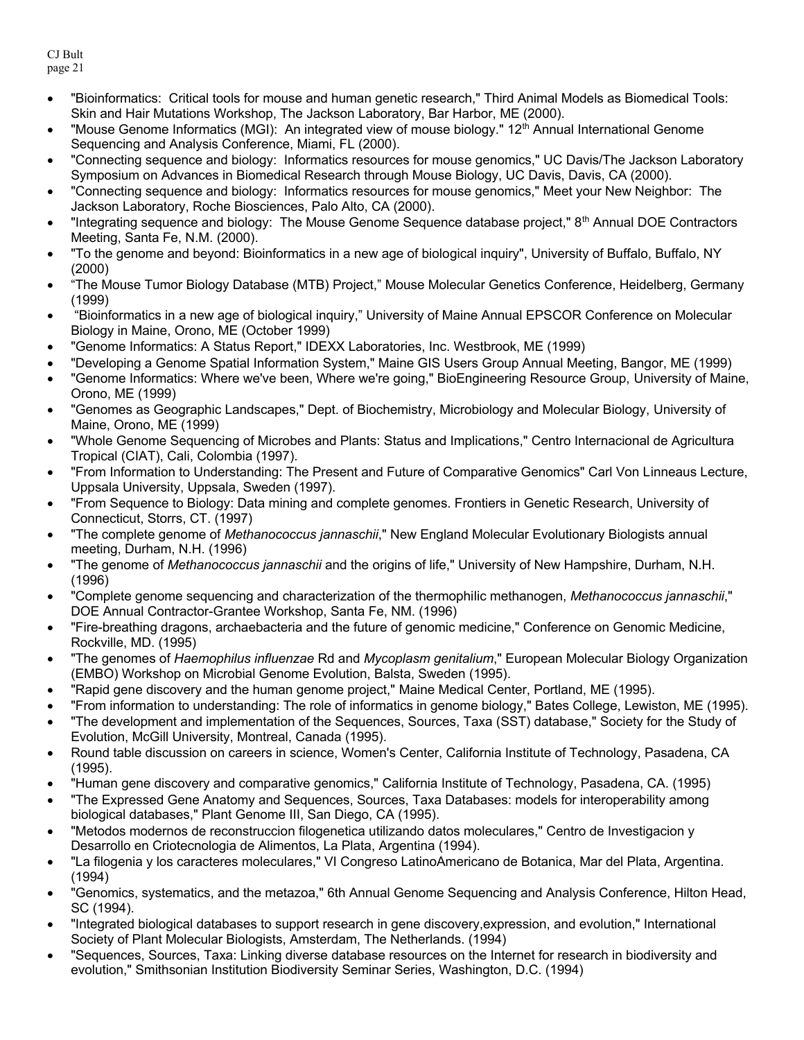- "Bioinformatics: Critical tools for mouse and human genetic research," Third Animal Models as Biomedical Tools: Skin and Hair Mutations Workshop, The Jackson Laboratory, Bar Harbor, ME (2000).
- "Mouse Genome Informatics (MGI): An integrated view of mouse biology." 12<sup>th</sup> Annual International Genome Sequencing and Analysis Conference, Miami, FL (2000).
- "Connecting sequence and biology: Informatics resources for mouse genomics," UC Davis/The Jackson Laboratory Symposium on Advances in Biomedical Research through Mouse Biology, UC Davis, Davis, CA (2000).
- "Connecting sequence and biology: Informatics resources for mouse genomics," Meet your New Neighbor: The Jackson Laboratory, Roche Biosciences, Palo Alto, CA (2000).
- "Integrating sequence and biology: The Mouse Genome Sequence database project,"  $8<sup>th</sup>$  Annual DOE Contractors Meeting, Santa Fe, N.M. (2000).
- "To the genome and beyond: Bioinformatics in a new age of biological inquiry", University of Buffalo, Buffalo, NY (2000)
- "The Mouse Tumor Biology Database (MTB) Project," Mouse Molecular Genetics Conference, Heidelberg, Germany (1999)
- "Bioinformatics in a new age of biological inquiry," University of Maine Annual EPSCOR Conference on Molecular Biology in Maine, Orono, ME (October 1999)
- "Genome Informatics: A Status Report," IDEXX Laboratories, Inc. Westbrook, ME (1999)
- "Developing a Genome Spatial Information System," Maine GIS Users Group Annual Meeting, Bangor, ME (1999)
- "Genome Informatics: Where we've been, Where we're going," BioEngineering Resource Group, University of Maine, Orono, ME (1999)
- "Genomes as Geographic Landscapes," Dept. of Biochemistry, Microbiology and Molecular Biology, University of Maine, Orono, ME (1999)
- "Whole Genome Sequencing of Microbes and Plants: Status and Implications," Centro Internacional de Agricultura Tropical (CIAT), Cali, Colombia (1997).
- "From Information to Understanding: The Present and Future of Comparative Genomics" Carl Von Linneaus Lecture, Uppsala University, Uppsala, Sweden (1997).
- "From Sequence to Biology: Data mining and complete genomes. Frontiers in Genetic Research, University of Connecticut, Storrs, CT. (1997)
- "The complete genome of *Methanococcus jannaschii*," New England Molecular Evolutionary Biologists annual meeting, Durham, N.H. (1996)
- "The genome of *Methanococcus jannaschii* and the origins of life," University of New Hampshire, Durham, N.H. (1996)
- "Complete genome sequencing and characterization of the thermophilic methanogen, *Methanococcus jannaschii*," DOE Annual Contractor-Grantee Workshop, Santa Fe, NM. (1996)
- "Fire-breathing dragons, archaebacteria and the future of genomic medicine," Conference on Genomic Medicine, Rockville, MD. (1995)
- "The genomes of *Haemophilus influenzae* Rd and *Mycoplasm genitalium*," European Molecular Biology Organization (EMBO) Workshop on Microbial Genome Evolution, Balsta, Sweden (1995).
- "Rapid gene discovery and the human genome project," Maine Medical Center, Portland, ME (1995).
- "From information to understanding: The role of informatics in genome biology," Bates College, Lewiston, ME (1995).
- "The development and implementation of the Sequences, Sources, Taxa (SST) database," Society for the Study of Evolution, McGill University, Montreal, Canada (1995).
- Round table discussion on careers in science, Women's Center, California Institute of Technology, Pasadena, CA (1995).
- "Human gene discovery and comparative genomics," California Institute of Technology, Pasadena, CA. (1995)
- "The Expressed Gene Anatomy and Sequences, Sources, Taxa Databases: models for interoperability among biological databases," Plant Genome III, San Diego, CA (1995).
- "Metodos modernos de reconstruccion filogenetica utilizando datos moleculares," Centro de Investigacion y Desarrollo en Criotecnologia de Alimentos, La Plata, Argentina (1994).
- "La filogenia y los caracteres moleculares," VI Congreso LatinoAmericano de Botanica, Mar del Plata, Argentina. (1994)
- "Genomics, systematics, and the metazoa," 6th Annual Genome Sequencing and Analysis Conference, Hilton Head, SC (1994).
- "Integrated biological databases to support research in gene discovery,expression, and evolution," International Society of Plant Molecular Biologists, Amsterdam, The Netherlands. (1994)
- "Sequences, Sources, Taxa: Linking diverse database resources on the Internet for research in biodiversity and evolution," Smithsonian Institution Biodiversity Seminar Series, Washington, D.C. (1994)